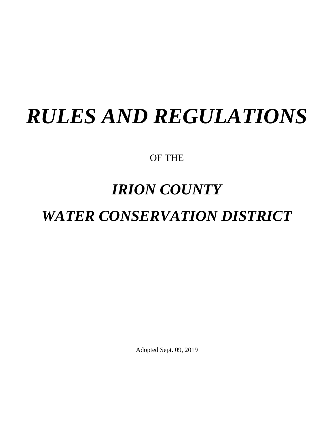# *RULES AND REGULATIONS*

OF THE

## *IRION COUNTY*

## *WATER CONSERVATION DISTRICT*

Adopted Sept. 09, 2019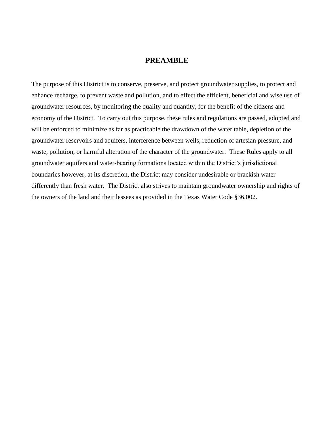## **PREAMBLE**

The purpose of this District is to conserve, preserve, and protect groundwater supplies, to protect and enhance recharge, to prevent waste and pollution, and to effect the efficient, beneficial and wise use of groundwater resources, by monitoring the quality and quantity, for the benefit of the citizens and economy of the District. To carry out this purpose, these rules and regulations are passed, adopted and will be enforced to minimize as far as practicable the drawdown of the water table, depletion of the groundwater reservoirs and aquifers, interference between wells, reduction of artesian pressure, and waste, pollution, or harmful alteration of the character of the groundwater. These Rules apply to all groundwater aquifers and water-bearing formations located within the District's jurisdictional boundaries however, at its discretion, the District may consider undesirable or brackish water differently than fresh water. The District also strives to maintain groundwater ownership and rights of the owners of the land and their lessees as provided in the Texas Water Code §36.002.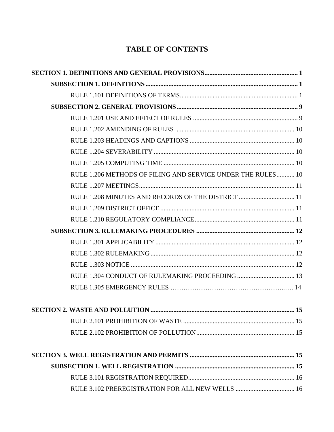## **TABLE OF CONTENTS**

| RULE 1.206 METHODS OF FILING AND SERVICE UNDER THE RULES 10 |  |
|-------------------------------------------------------------|--|
|                                                             |  |
| RULE 1.208 MINUTES AND RECORDS OF THE DISTRICT  11          |  |
|                                                             |  |
|                                                             |  |
|                                                             |  |
|                                                             |  |
|                                                             |  |
|                                                             |  |
|                                                             |  |
|                                                             |  |
|                                                             |  |
|                                                             |  |
|                                                             |  |
|                                                             |  |
|                                                             |  |
|                                                             |  |
|                                                             |  |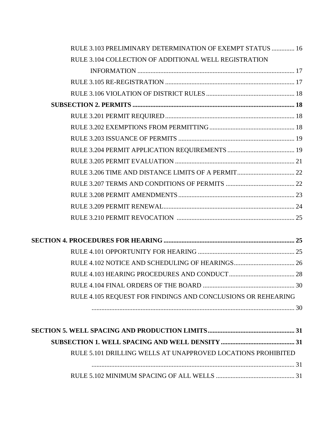| RULE 3.103 PRELIMINARY DETERMINATION OF EXEMPT STATUS  16 |  |
|-----------------------------------------------------------|--|
| RULE 3.104 COLLECTION OF ADDITIONAL WELL REGISTRATION     |  |
|                                                           |  |
|                                                           |  |
|                                                           |  |
|                                                           |  |
|                                                           |  |
|                                                           |  |
|                                                           |  |
|                                                           |  |
|                                                           |  |
|                                                           |  |
|                                                           |  |
|                                                           |  |
|                                                           |  |
|                                                           |  |

| RULE 4.105 REQUEST FOR FINDINGS AND CONCLUSIONS OR REHEARING |  |
|--------------------------------------------------------------|--|
|                                                              |  |

| RULE 5.101 DRILLING WELLS AT UNAPPROVED LOCATIONS PROHIBITED |  |
|--------------------------------------------------------------|--|
|                                                              |  |
|                                                              |  |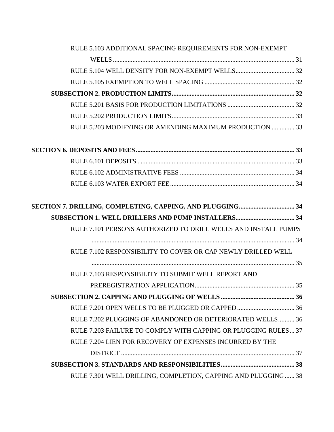| RULE 5.103 ADDITIONAL SPACING REQUIREMENTS FOR NON-EXEMPT      |  |
|----------------------------------------------------------------|--|
|                                                                |  |
|                                                                |  |
|                                                                |  |
|                                                                |  |
|                                                                |  |
|                                                                |  |
| RULE 5.203 MODIFYING OR AMENDING MAXIMUM PRODUCTION  33        |  |
|                                                                |  |
|                                                                |  |
|                                                                |  |
|                                                                |  |
|                                                                |  |
|                                                                |  |
| RULE 7.101 PERSONS AUTHORIZED TO DRILL WELLS AND INSTALL PUMPS |  |
| RULE 7.102 RESPONSIBILITY TO COVER OR CAP NEWLY DRILLED WELL   |  |
|                                                                |  |
| RULE 7.103 RESPONSIBILITY TO SUBMIT WELL REPORT AND            |  |
|                                                                |  |
|                                                                |  |
|                                                                |  |
| RULE 7.202 PLUGGING OF ABANDONED OR DETERIORATED WELLS 36      |  |
| RULE 7.203 FAILURE TO COMPLY WITH CAPPING OR PLUGGING RULES 37 |  |
| RULE 7.204 LIEN FOR RECOVERY OF EXPENSES INCURRED BY THE       |  |
|                                                                |  |
|                                                                |  |
| RULE 7.301 WELL DRILLING, COMPLETION, CAPPING AND PLUGGING 38  |  |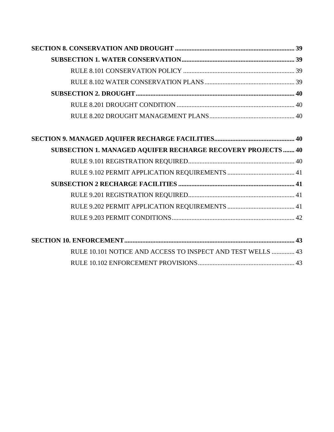| <b>SUBSECTION 1. MANAGED AQUIFER RECHARGE RECOVERY PROJECTS 40</b> |  |
|--------------------------------------------------------------------|--|
|                                                                    |  |
|                                                                    |  |
|                                                                    |  |
|                                                                    |  |
|                                                                    |  |
|                                                                    |  |
|                                                                    |  |

| RULE 10.101 NOTICE AND ACCESS TO INSPECT AND TEST WELLS  43 |  |
|-------------------------------------------------------------|--|
|                                                             |  |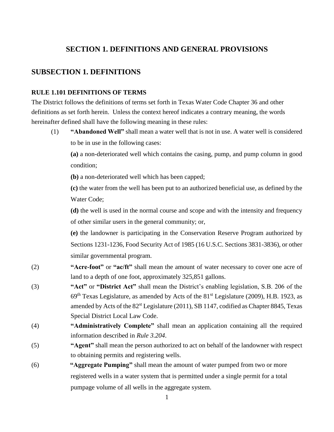## **SECTION 1. DEFINITIONS AND GENERAL PROVISIONS**

## **SUBSECTION 1. DEFINITIONS**

## **RULE 1.101 DEFINITIONS OF TERMS**

The District follows the definitions of terms set forth in Texas Water Code Chapter 36 and other definitions as set forth herein. Unless the context hereof indicates a contrary meaning, the words hereinafter defined shall have the following meaning in these rules:

(1) **"Abandoned Well"** shall mean a water well that is not in use. A water well is considered to be in use in the following cases:

**(a)** a non-deteriorated well which contains the casing, pump, and pump column in good condition;

**(b)** a non-deteriorated well which has been capped;

**(c)** the water from the well has been put to an authorized beneficial use, as defined by the Water Code;

**(d)** the well is used in the normal course and scope and with the intensity and frequency of other similar users in the general community; or,

**(e)** the landowner is participating in the Conservation Reserve Program authorized by Sections 1231-1236, Food Security Act of 1985 (16 U.S.C. Sections 3831-3836), or other similar governmental program.

- (2) **"Acre-foot"** or **"ac/ft"** shall mean the amount of water necessary to cover one acre of land to a depth of one foot, approximately 325,851 gallons.
- (3) **"Act"** or **"District Act"** shall mean the District's enabling legislation, S.B. 206 of the  $69<sup>th</sup>$  Texas Legislature, as amended by Acts of the 81<sup>st</sup> Legislature (2009), H.B. 1923, as amended by Acts of the 82<sup>st</sup> Legislature (2011), SB 1147, codified as Chapter 8845, Texas Special District Local Law Code.
- (4) **"Administratively Complete"** shall mean an application containing all the required information described in *Rule 3.204*.
- (5) **"Agent"** shall mean the person authorized to act on behalf of the landowner with respect to obtaining permits and registering wells.
- (6) **"Aggregate Pumping"** shall mean the amount of water pumped from two or more registered wells in a water system that is permitted under a single permit for a total pumpage volume of all wells in the aggregate system.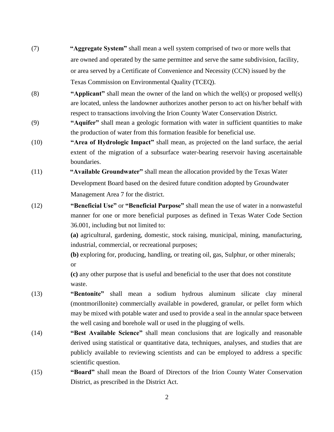- (7) **"Aggregate System"** shall mean a well system comprised of two or more wells that are owned and operated by the same permittee and serve the same subdivision, facility, or area served by a Certificate of Convenience and Necessity (CCN) issued by the Texas Commission on Environmental Quality (TCEQ).
- (8) **"Applicant"** shall mean the owner of the land on which the well(s) or proposed well(s) are located, unless the landowner authorizes another person to act on his/her behalf with respect to transactions involving the Irion County Water Conservation District.
- (9) **"Aquifer"** shall mean a geologic formation with water in sufficient quantities to make the production of water from this formation feasible for beneficial use.
- (10) **"Area of Hydrologic Impact"** shall mean, as projected on the land surface, the aerial extent of the migration of a subsurface water-bearing reservoir having ascertainable boundaries.
- (11) **"Available Groundwater"** shall mean the allocation provided by the Texas Water Development Board based on the desired future condition adopted by Groundwater Management Area 7 for the district.
- (12) **"Beneficial Use"** or **"Beneficial Purpose"** shall mean the use of water in a nonwasteful manner for one or more beneficial purposes as defined in Texas Water Code Section 36.001, including but not limited to:

**(a)** agricultural, gardening, domestic, stock raising, municipal, mining, manufacturing, industrial, commercial, or recreational purposes;

**(b)** exploring for, producing, handling, or treating oil, gas, Sulphur, or other minerals; or

**(c)** any other purpose that is useful and beneficial to the user that does not constitute waste.

- (13) **"Bentonite"** shall mean a sodium hydrous aluminum silicate clay mineral (montmorillonite) commercially available in powdered, granular, or pellet form which may be mixed with potable water and used to provide a seal in the annular space between the well casing and borehole wall or used in the plugging of wells.
- (14) **"Best Available Science"** shall mean conclusions that are logically and reasonable derived using statistical or quantitative data, techniques, analyses, and studies that are publicly available to reviewing scientists and can be employed to address a specific scientific question.
- (15) **"Board"** shall mean the Board of Directors of the Irion County Water Conservation District, as prescribed in the District Act.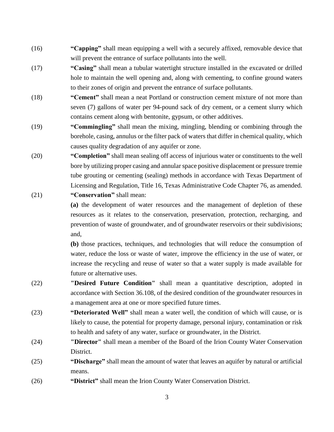- (16) **"Capping"** shall mean equipping a well with a securely affixed, removable device that will prevent the entrance of surface pollutants into the well.
- (17) **"Casing"** shall mean a tubular watertight structure installed in the excavated or drilled hole to maintain the well opening and, along with cementing, to confine ground waters to their zones of origin and prevent the entrance of surface pollutants.
- (18) **"Cement"** shall mean a neat Portland or construction cement mixture of not more than seven (7) gallons of water per 94-pound sack of dry cement, or a cement slurry which contains cement along with bentonite, gypsum, or other additives.
- (19) **"Commingling"** shall mean the mixing, mingling, blending or combining through the borehole, casing, annulus or the filter pack of waters that differ in chemical quality, which causes quality degradation of any aquifer or zone.
- (20) **"Completion"** shall mean sealing off access of injurious water or constituents to the well bore by utilizing proper casing and annular space positive displacement or pressure tremie tube grouting or cementing (sealing) methods in accordance with Texas Department of Licensing and Regulation, Title 16, Texas Administrative Code Chapter 76, as amended.
- (21) **"Conservation"** shall mean:

**(a)** the development of water resources and the management of depletion of these resources as it relates to the conservation, preservation, protection, recharging, and prevention of waste of groundwater, and of groundwater reservoirs or their subdivisions; and,

**(b)** those practices, techniques, and technologies that will reduce the consumption of water, reduce the loss or waste of water, improve the efficiency in the use of water, or increase the recycling and reuse of water so that a water supply is made available for future or alternative uses.

- (22) **"Desired Future Condition"** shall mean a quantitative description, adopted in accordance with Section 36.108, of the desired condition of the groundwater resources in a management area at one or more specified future times.
- (23) **"Deteriorated Well"** shall mean a water well, the condition of which will cause, or is likely to cause, the potential for property damage, personal injury, contamination or risk to health and safety of any water, surface or groundwater, in the District.
- (24) **"Director"** shall mean a member of the Board of the Irion County Water Conservation District.
- (25) **"Discharge"** shall mean the amount of water that leaves an aquifer by natural or artificial means.
- (26) **"District"** shall mean the Irion County Water Conservation District.

3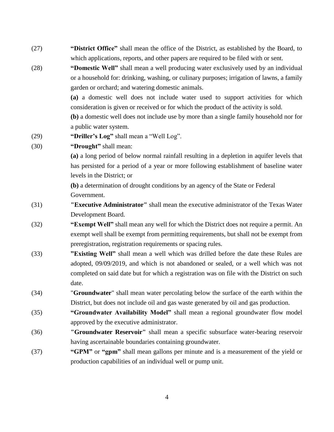- (27) **"District Office"** shall mean the office of the District, as established by the Board, to which applications, reports, and other papers are required to be filed with or sent.
- (28) **"Domestic Well"** shall mean a well producing water exclusively used by an individual or a household for: drinking, washing, or culinary purposes; irrigation of lawns, a family garden or orchard; and watering domestic animals.

**(a)** a domestic well does not include water used to support activities for which consideration is given or received or for which the product of the activity is sold.

**(b)** a domestic well does not include use by more than a single family household nor for a public water system.

- (29) **"Driller's Log"** shall mean a "Well Log".
- (30) **"Drought"** shall mean:

**(a)** a long period of below normal rainfall resulting in a depletion in aquifer levels that has persisted for a period of a year or more following establishment of baseline water levels in the District; or

**(b)** a determination of drought conditions by an agency of the State or Federal Government.

- (31) **"Executive Administrator"** shall mean the executive administrator of the Texas Water Development Board.
- (32) **"Exempt Well"** shall mean any well for which the District does not require a permit. An exempt well shall be exempt from permitting requirements, but shall not be exempt from preregistration, registration requirements or spacing rules.
- (33) **"Existing Well"** shall mean a well which was drilled before the date these Rules are adopted, 09/09/2019, and which is not abandoned or sealed, or a well which was not completed on said date but for which a registration was on file with the District on such date.
- (34) "**Groundwater**" shall mean water percolating below the surface of the earth within the District, but does not include oil and gas waste generated by oil and gas production.
- (35) **"Groundwater Availability Model"** shall mean a regional groundwater flow model approved by the executive administrator.
- (36) **"Groundwater Reservoir"** shall mean a specific subsurface water-bearing reservoir having ascertainable boundaries containing groundwater.
- (37) **"GPM"** or **"gpm"** shall mean gallons per minute and is a measurement of the yield or production capabilities of an individual well or pump unit.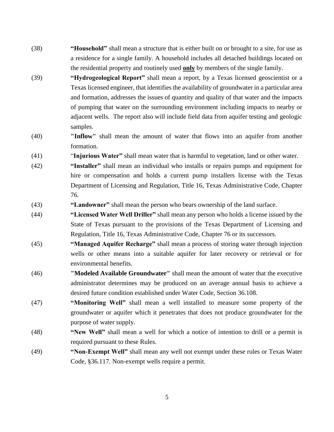- (38) **"Household"** shall mean a structure that is either built on or brought to a site, for use as a residence for a single family. A household includes all detached buildings located on the residential property and routinely used **only** by members of the single family.
- (39) **"Hydrogeological Report"** shall mean a report, by a Texas licensed geoscientist or a Texas licensed engineer, that identifies the availability of groundwater in a particular area and formation, addresses the issues of quantity and quality of that water and the impacts of pumping that water on the surrounding environment including impacts to nearby or adjacent wells. The report also will include field data from aquifer testing and geologic samples.
- (40) **"Inflow"** shall mean the amount of water that flows into an aquifer from another formation.
- (41) "**Injurious Water"** shall mean water that is harmful to vegetation, land or other water.
- (42) **"Installer"** shall mean an individual who installs or repairs pumps and equipment for hire or compensation and holds a current pump installers license with the Texas Department of Licensing and Regulation, Title 16, Texas Administrative Code, Chapter 76.
- (43) **"Landowner"** shall mean the person who bears ownership of the land surface.
- (44) **"Licensed Water Well Driller"** shall mean any person who holds a license issued by the State of Texas pursuant to the provisions of the Texas Department of Licensing and Regulation, Title 16, Texas Administrative Code, Chapter 76 or its successors.
- (45) **"Managed Aquifer Recharge"** shall mean a process of storing water through injection wells or other means into a suitable aquifer for later recovery or retrieval or for environmental benefits.
- (46) **"Modeled Available Groundwater"** shall mean the amount of water that the executive administrator determines may be produced on an average annual basis to achieve a desired future condition established under Water Code, Section 36.108.
- (47) **"Monitoring Well"** shall mean a well installed to measure some property of the groundwater or aquifer which it penetrates that does not produce groundwater for the purpose of water supply.
- (48) **"New Well"** shall mean a well for which a notice of intention to drill or a permit is required pursuant to these Rules.
- (49) **"Non-Exempt Well"** shall mean any well not exempt under these rules or Texas Water Code, §36.117. Non-exempt wells require a permit.

5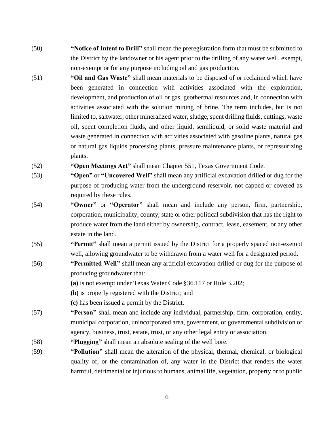- (50) **"Notice of Intent to Drill"** shall mean the preregistration form that must be submitted to the District by the landowner or his agent prior to the drilling of any water well, exempt, non-exempt or for any purpose including oil and gas production.
- (51) **"Oil and Gas Waste"** shall mean materials to be disposed of or reclaimed which have been generated in connection with activities associated with the exploration, development, and production of oil or gas, geothermal resources and, in connection with activities associated with the solution mining of brine. The term includes, but is not limited to, saltwater, other mineralized water, sludge, spent drilling fluids, cuttings, waste oil, spent completion fluids, and other liquid, semiliquid, or solid waste material and waste generated in connection with activities associated with gasoline plants, natural gas or natural gas liquids processing plants, pressure maintenance plants, or repressurizing plants.
- (52) **"Open Meetings Act"** shall mean Chapter 551, Texas Government Code.
- (53) **"Open"** or **"Uncovered Well"** shall mean any artificial excavation drilled or dug for the purpose of producing water from the underground reservoir, not capped or covered as required by these rules.
- (54) **"Owner"** or **"Operator"** shall mean and include any person, firm, partnership, corporation, municipality, county, state or other political subdivision that has the right to produce water from the land either by ownership, contract, lease, easement, or any other estate in the land.
- (55) **"Permit"** shall mean a permit issued by the District for a properly spaced non-exempt well, allowing groundwater to be withdrawn from a water well for a designated period.
- (56) **"Permitted Well"** shall mean any artificial excavation drilled or dug for the purpose of producing groundwater that:
	- **(a)** is not exempt under Texas Water Code §36.117 or Rule 3.202;
	- **(b)** is properly registered with the District; and
	- **(c)** has been issued a permit by the District.
- (57) **"Person"** shall mean and include any individual, partnership, firm, corporation, entity, municipal corporation, unincorporated area, government, or governmental subdivision or agency, business, trust, estate, trust, or any other legal entity or association.
- (58) **"Plugging"** shall mean an absolute sealing of the well bore.
- (59) **"Pollution"** shall mean the alteration of the physical, thermal, chemical, or biological quality of, or the contamination of, any water in the District that renders the water harmful, detrimental or injurious to humans, animal life, vegetation, property or to public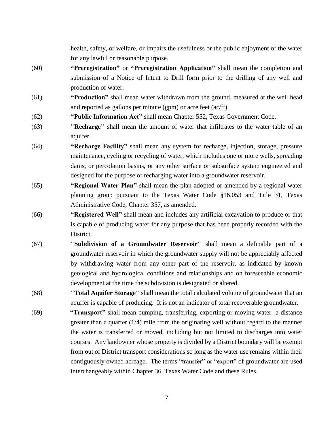health, safety, or welfare, or impairs the usefulness or the public enjoyment of the water for any lawful or reasonable purpose.

- (60) **"Preregistration"** or **"Preregistration Application"** shall mean the completion and submission of a Notice of Intent to Drill form prior to the drilling of any well and production of water.
- (61) **"Production"** shall mean water withdrawn from the ground, measured at the well head and reported as gallons per minute (gpm) or acre feet (ac/ft).
- (62) **"Public Information Act"** shall mean Chapter 552, Texas Government Code.
- (63) **"Recharge"** shall mean the amount of water that infiltrates to the water table of an aquifer.
- (64) **"Recharge Facility"** shall mean any system for recharge, injection, storage, pressure maintenance, cycling or recycling of water, which includes one or more wells, spreading dams, or percolation basins, or any other surface or subsurface system engineered and designed for the purpose of recharging water into a groundwater reservoir.
- (65) **"Regional Water Plan"** shall mean the plan adopted or amended by a regional water planning group pursuant to the Texas Water Code §16.053 and Title 31, Texas Administrative Code, Chapter 357, as amended.
- (66) **"Registered Well"** shall mean and includes any artificial excavation to produce or that is capable of producing water for any purpose that has been properly recorded with the District.
- (67) **"Subdivision of a Groundwater Reservoir"** shall mean a definable part of a groundwater reservoir in which the groundwater supply will not be appreciably affected by withdrawing water from any other part of the reservoir, as indicated by known geological and hydrological conditions and relationships and on foreseeable economic development at the time the subdivision is designated or altered.
- (68) **"Total Aquifer Storage"** shall mean the total calculated volume of groundwater that an aquifer is capable of producing. It is not an indicator of total recoverable groundwater.
- (69) **"Transport"** shall mean pumping, transferring, exporting or moving water a distance greater than a quarter (1/4) mile from the originating well without regard to the manner the water is transferred or moved, including but not limited to discharges into water courses. Any landowner whose property is divided by a District boundary will be exempt from out of District transport considerations so long as the water use remains within their contiguously owned acreage. The terms "transfer" or "export" of groundwater are used interchangeably within Chapter 36, Texas Water Code and these Rules.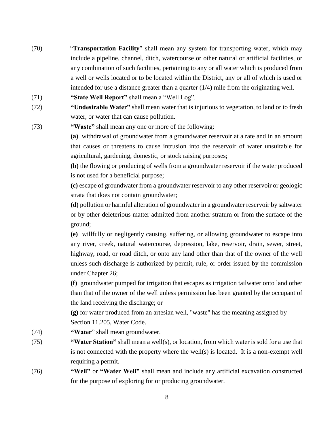- (70) "**Transportation Facility**" shall mean any system for transporting water, which may include a pipeline, channel, ditch, watercourse or other natural or artificial facilities, or any combination of such facilities, pertaining to any or all water which is produced from a well or wells located or to be located within the District, any or all of which is used or intended for use a distance greater than a quarter  $(1/4)$  mile from the originating well.
- (71) **"State Well Report"** shall mean a "Well Log".
- (72) **"Undesirable Water"** shall mean water that is injurious to vegetation, to land or to fresh water, or water that can cause pollution.
- (73) **"Waste"** shall mean any one or more of the following:

**(a)** withdrawal of groundwater from a groundwater reservoir at a rate and in an amount that causes or threatens to cause intrusion into the reservoir of water unsuitable for agricultural, gardening, domestic, or stock raising purposes;

**(b)** the flowing or producing of wells from a groundwater reservoir if the water produced is not used for a beneficial purpose;

**(c)** escape of groundwater from a groundwater reservoir to any other reservoir or geologic strata that does not contain groundwater;

**(d)** pollution or harmful alteration of groundwater in a groundwater reservoir by saltwater or by other deleterious matter admitted from another stratum or from the surface of the ground;

**(e)** willfully or negligently causing, suffering, or allowing groundwater to escape into any river, creek, natural watercourse, depression, lake, reservoir, drain, sewer, street, highway, road, or road ditch, or onto any land other than that of the owner of the well unless such discharge is authorized by permit, rule, or order issued by the commission under Chapter 26;

**(f)** groundwater pumped for irrigation that escapes as irrigation tailwater onto land other than that of the owner of the well unless permission has been granted by the occupant of the land receiving the discharge; or

**(g)** for water produced from an artesian well, "waste" has the meaning assigned by Section 11.205, Water Code.

- (74) **"Water**" shall mean groundwater.
- (75) **"Water Station"** shall mean a well(s), or location, from which water is sold for a use that is not connected with the property where the well(s) is located. It is a non-exempt well requiring a permit.
- (76) **"Well"** or **"Water Well"** shall mean and include any artificial excavation constructed for the purpose of exploring for or producing groundwater.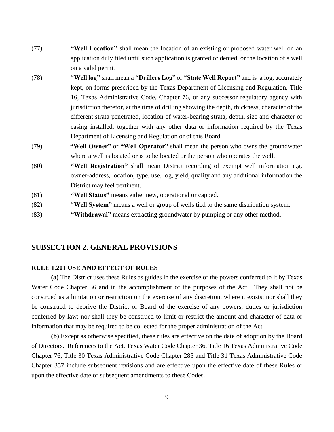- (77) **"Well Location"** shall mean the location of an existing or proposed water well on an application duly filed until such application is granted or denied, or the location of a well on a valid permit
- (78) **"Well log"** shall mean a **"Drillers Log**" or **"State Well Report"** and is a log, accurately kept, on forms prescribed by the Texas Department of Licensing and Regulation, Title 16, Texas Administrative Code, Chapter 76, or any successor regulatory agency with jurisdiction therefor, at the time of drilling showing the depth, thickness, character of the different strata penetrated, location of water-bearing strata, depth, size and character of casing installed, together with any other data or information required by the Texas Department of Licensing and Regulation or of this Board.
- (79) **"Well Owner"** or **"Well Operator"** shall mean the person who owns the groundwater where a well is located or is to be located or the person who operates the well.
- (80) **"Well Registration"** shall mean District recording of exempt well information e.g. owner-address, location, type, use, log, yield, quality and any additional information the District may feel pertinent.
- (81) **"Well Status"** means either new, operational or capped.
- (82) **"Well System"** means a well or group of wells tied to the same distribution system.
- (83) **"Withdrawal"** means extracting groundwater by pumping or any other method.

## **SUBSECTION 2. GENERAL PROVISIONS**

#### **RULE 1.201 USE AND EFFECT OF RULES**

**(a)** The District uses these Rules as guides in the exercise of the powers conferred to it by Texas Water Code Chapter 36 and in the accomplishment of the purposes of the Act. They shall not be construed as a limitation or restriction on the exercise of any discretion, where it exists; nor shall they be construed to deprive the District or Board of the exercise of any powers, duties or jurisdiction conferred by law; nor shall they be construed to limit or restrict the amount and character of data or information that may be required to be collected for the proper administration of the Act.

**(b)** Except as otherwise specified, these rules are effective on the date of adoption by the Board of Directors. References to the Act, Texas Water Code Chapter 36, Title 16 Texas Administrative Code Chapter 76, Title 30 Texas Administrative Code Chapter 285 and Title 31 Texas Administrative Code Chapter 357 include subsequent revisions and are effective upon the effective date of these Rules or upon the effective date of subsequent amendments to these Codes.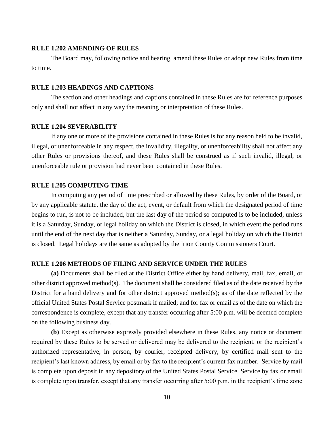## **RULE 1.202 AMENDING OF RULES**

The Board may, following notice and hearing, amend these Rules or adopt new Rules from time to time.

## **RULE 1.203 HEADINGS AND CAPTIONS**

The section and other headings and captions contained in these Rules are for reference purposes only and shall not affect in any way the meaning or interpretation of these Rules.

#### **RULE 1.204 SEVERABILITY**

If any one or more of the provisions contained in these Rules is for any reason held to be invalid, illegal, or unenforceable in any respect, the invalidity, illegality, or unenforceability shall not affect any other Rules or provisions thereof, and these Rules shall be construed as if such invalid, illegal, or unenforceable rule or provision had never been contained in these Rules.

#### **RULE 1.205 COMPUTING TIME**

In computing any period of time prescribed or allowed by these Rules, by order of the Board, or by any applicable statute, the day of the act, event, or default from which the designated period of time begins to run, is not to be included, but the last day of the period so computed is to be included, unless it is a Saturday, Sunday, or legal holiday on which the District is closed, in which event the period runs until the end of the next day that is neither a Saturday, Sunday, or a legal holiday on which the District is closed. Legal holidays are the same as adopted by the Irion County Commissioners Court.

### **RULE 1.206 METHODS OF FILING AND SERVICE UNDER THE RULES**

**(a)** Documents shall be filed at the District Office either by hand delivery, mail, fax, email, or other district approved method(s). The document shall be considered filed as of the date received by the District for a hand delivery and for other district approved method(s); as of the date reflected by the official United States Postal Service postmark if mailed; and for fax or email as of the date on which the correspondence is complete, except that any transfer occurring after 5:00 p.m. will be deemed complete on the following business day.

**(b)** Except as otherwise expressly provided elsewhere in these Rules, any notice or document required by these Rules to be served or delivered may be delivered to the recipient, or the recipient's authorized representative, in person, by courier, receipted delivery, by certified mail sent to the recipient's last known address, by email or by fax to the recipient's current fax number. Service by mail is complete upon deposit in any depository of the United States Postal Service. Service by fax or email is complete upon transfer, except that any transfer occurring after 5:00 p.m. in the recipient's time zone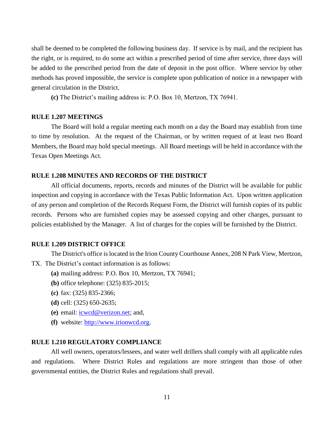shall be deemed to be completed the following business day. If service is by mail, and the recipient has the right, or is required, to do some act within a prescribed period of time after service, three days will be added to the prescribed period from the date of deposit in the post office. Where service by other methods has proved impossible, the service is complete upon publication of notice in a newspaper with general circulation in the District.

**(c)** The District's mailing address is: P.O. Box 10, Mertzon, TX 76941.

#### **RULE 1.207 MEETINGS**

The Board will hold a regular meeting each month on a day the Board may establish from time to time by resolution. At the request of the Chairman, or by written request of at least two Board Members, the Board may hold special meetings. All Board meetings will be held in accordance with the Texas Open Meetings Act.

#### **RULE 1.208 MINUTES AND RECORDS OF THE DISTRICT**

All official documents, reports, records and minutes of the District will be available for public inspection and copying in accordance with the Texas Public Information Act. Upon written application of any person and completion of the Records Request Form, the District will furnish copies of its public records. Persons who are furnished copies may be assessed copying and other charges, pursuant to policies established by the Manager. A list of charges for the copies will be furnished by the District.

## **RULE 1.209 DISTRICT OFFICE**

The District's office is located in the Irion County Courthouse Annex, 208 N Park View, Mertzon,

TX. The District's contact information is as follows:

- **(a)** mailing address: P.O. Box 10, Mertzon, TX 76941;
- **(b)** office telephone: (325) 835-2015;
- **(c)** fax: (325) 835-2366;
- **(d)** cell: (325) 650-2635;
- **(e)** email: [icwcd@verizon.net;](mailto:icwcd@airmail.net.) and,
- **(f)** website: [http://www.irionwcd.org.](http://www.irionwcd.org/)

## **RULE 1.210 REGULATORY COMPLIANCE**

All well owners, operators/lessees, and water well drillers shall comply with all applicable rules and regulations. Where District Rules and regulations are more stringent than those of other governmental entities, the District Rules and regulations shall prevail.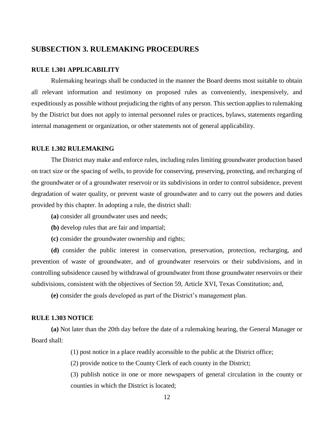## **SUBSECTION 3. RULEMAKING PROCEDURES**

## **RULE 1.301 APPLICABILITY**

Rulemaking hearings shall be conducted in the manner the Board deems most suitable to obtain all relevant information and testimony on proposed rules as conveniently, inexpensively, and expeditiously as possible without prejudicing the rights of any person. This section applies to rulemaking by the District but does not apply to internal personnel rules or practices, bylaws, statements regarding internal management or organization, or other statements not of general applicability.

#### **RULE 1.302 RULEMAKING**

The District may make and enforce rules, including rules limiting groundwater production based on tract size or the spacing of wells, to provide for conserving, preserving, protecting, and recharging of the groundwater or of a groundwater reservoir or its subdivisions in order to control subsidence, prevent degradation of water quality, or prevent waste of groundwater and to carry out the powers and duties provided by this chapter. In adopting a rule, the district shall:

- **(a)** consider all groundwater uses and needs;
- **(b)** develop rules that are fair and impartial;
- **(c)** consider the groundwater ownership and rights;

**(d)** consider the public interest in conservation, preservation, protection, recharging, and prevention of waste of groundwater, and of groundwater reservoirs or their subdivisions, and in controlling subsidence caused by withdrawal of groundwater from those groundwater reservoirs or their subdivisions, consistent with the objectives of Section 59, Article XVI, Texas Constitution; and,

**(e)** consider the goals developed as part of the District's management plan.

#### **RULE 1.303 NOTICE**

**(a)** Not later than the 20th day before the date of a rulemaking hearing, the General Manager or Board shall:

(1) post notice in a place readily accessible to the public at the District office;

(2) provide notice to the County Clerk of each county in the District;

(3) publish notice in one or more newspapers of general circulation in the county or counties in which the District is located;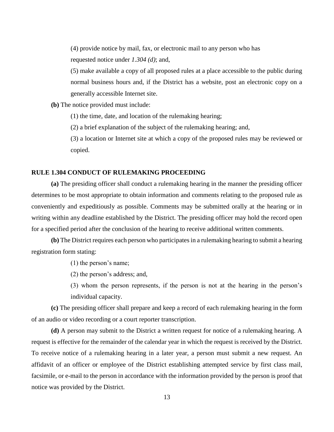(4) provide notice by mail, fax, or electronic mail to any person who has requested notice under *1.304 (d)*; and,

(5) make available a copy of all proposed rules at a place accessible to the public during normal business hours and, if the District has a website, post an electronic copy on a generally accessible Internet site.

**(b)** The notice provided must include:

(1) the time, date, and location of the rulemaking hearing;

(2) a brief explanation of the subject of the rulemaking hearing; and,

(3) a location or Internet site at which a copy of the proposed rules may be reviewed or copied.

## **RULE 1.304 CONDUCT OF RULEMAKING PROCEEDING**

**(a)** The presiding officer shall conduct a rulemaking hearing in the manner the presiding officer determines to be most appropriate to obtain information and comments relating to the proposed rule as conveniently and expeditiously as possible. Comments may be submitted orally at the hearing or in writing within any deadline established by the District. The presiding officer may hold the record open for a specified period after the conclusion of the hearing to receive additional written comments.

**(b)** The District requires each person who participates in a rulemaking hearing to submit a hearing registration form stating:

(1) the person's name;

(2) the person's address; and,

(3) whom the person represents, if the person is not at the hearing in the person's individual capacity.

**(c)** The presiding officer shall prepare and keep a record of each rulemaking hearing in the form of an audio or video recording or a court reporter transcription.

**(d)** A person may submit to the District a written request for notice of a rulemaking hearing. A request is effective for the remainder of the calendar year in which the request is received by the District. To receive notice of a rulemaking hearing in a later year, a person must submit a new request. An affidavit of an officer or employee of the District establishing attempted service by first class mail, facsimile, or e-mail to the person in accordance with the information provided by the person is proof that notice was provided by the District.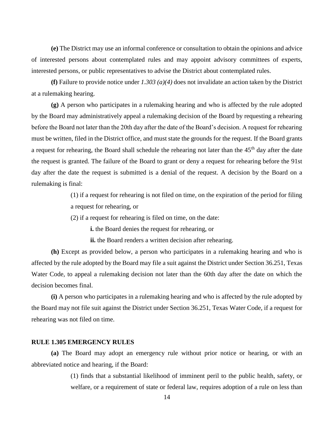**(e)** The District may use an informal conference or consultation to obtain the opinions and advice of interested persons about contemplated rules and may appoint advisory committees of experts, interested persons, or public representatives to advise the District about contemplated rules.

**(f)** Failure to provide notice under *1.303 (a)(4)* does not invalidate an action taken by the District at a rulemaking hearing.

**(g)** A person who participates in a rulemaking hearing and who is affected by the rule adopted by the Board may administratively appeal a rulemaking decision of the Board by requesting a rehearing before the Board not later than the 20th day after the date of the Board's decision. A request for rehearing must be written, filed in the District office, and must state the grounds for the request. If the Board grants a request for rehearing, the Board shall schedule the rehearing not later than the 45<sup>th</sup> day after the date the request is granted. The failure of the Board to grant or deny a request for rehearing before the 91st day after the date the request is submitted is a denial of the request. A decision by the Board on a rulemaking is final:

> (1) if a request for rehearing is not filed on time, on the expiration of the period for filing a request for rehearing, or

(2) if a request for rehearing is filed on time, on the date:

**i.** the Board denies the request for rehearing, or

**ii.** the Board renders a written decision after rehearing.

**(h)** Except as provided below, a person who participates in a rulemaking hearing and who is affected by the rule adopted by the Board may file a suit against the District under Section 36.251, Texas Water Code, to appeal a rulemaking decision not later than the 60th day after the date on which the decision becomes final.

**(i)** A person who participates in a rulemaking hearing and who is affected by the rule adopted by the Board may not file suit against the District under Section 36.251, Texas Water Code, if a request for rehearing was not filed on time.

## **RULE 1.305 EMERGENCY RULES**

**(a)** The Board may adopt an emergency rule without prior notice or hearing, or with an abbreviated notice and hearing, if the Board:

> (1) finds that a substantial likelihood of imminent peril to the public health, safety, or welfare, or a requirement of state or federal law, requires adoption of a rule on less than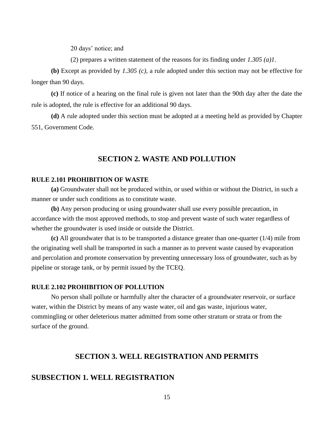20 days' notice; and

(2) prepares a written statement of the reasons for its finding under *1.305 (a)1*.

**(b)** Except as provided by *1.305 (c)*, a rule adopted under this section may not be effective for longer than 90 days.

**(c)** If notice of a hearing on the final rule is given not later than the 90th day after the date the rule is adopted, the rule is effective for an additional 90 days.

**(d)** A rule adopted under this section must be adopted at a meeting held as provided by Chapter 551, Government Code.

## **SECTION 2. WASTE AND POLLUTION**

#### **RULE 2.101 PROHIBITION OF WASTE**

**(a)** Groundwater shall not be produced within, or used within or without the District, in such a manner or under such conditions as to constitute waste.

**(b)** Any person producing or using groundwater shall use every possible precaution, in accordance with the most approved methods, to stop and prevent waste of such water regardless of whether the groundwater is used inside or outside the District.

**(c)** All groundwater that is to be transported a distance greater than one-quarter (1/4) mile from the originating well shall be transported in such a manner as to prevent waste caused by evaporation and percolation and promote conservation by preventing unnecessary loss of groundwater, such as by pipeline or storage tank, or by permit issued by the TCEQ.

#### **RULE 2.102 PROHIBITION OF POLLUTION**

No person shall pollute or harmfully alter the character of a groundwater reservoir, or surface water, within the District by means of any waste water, oil and gas waste, injurious water, commingling or other deleterious matter admitted from some other stratum or strata or from the surface of the ground.

## **SECTION 3. WELL REGISTRATION AND PERMITS**

## **SUBSECTION 1. WELL REGISTRATION**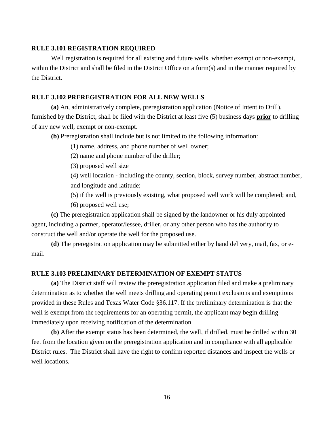## **RULE 3.101 REGISTRATION REQUIRED**

Well registration is required for all existing and future wells, whether exempt or non-exempt, within the District and shall be filed in the District Office on a form(s) and in the manner required by the District.

## **RULE 3.102 PREREGISTRATION FOR ALL NEW WELLS**

**(a)** An, administratively complete, preregistration application (Notice of Intent to Drill), furnished by the District, shall be filed with the District at least five (5) business days **prior** to drilling of any new well, exempt or non-exempt.

**(b)** Preregistration shall include but is not limited to the following information:

(1) name, address, and phone number of well owner;

(2) name and phone number of the driller;

(3) proposed well size

(4) well location - including the county, section, block, survey number, abstract number, and longitude and latitude;

(5) if the well is previously existing, what proposed well work will be completed; and,

(6) proposed well use;

**(c)** The preregistration application shall be signed by the landowner or his duly appointed agent, including a partner, operator/lessee, driller, or any other person who has the authority to construct the well and/or operate the well for the proposed use.

**(d)** The preregistration application may be submitted either by hand delivery, mail, fax, or email.

## **RULE 3.103 PRELIMINARY DETERMINATION OF EXEMPT STATUS**

**(a)** The District staff will review the preregistration application filed and make a preliminary determination as to whether the well meets drilling and operating permit exclusions and exemptions provided in these Rules and Texas Water Code §36.117. If the preliminary determination is that the well is exempt from the requirements for an operating permit, the applicant may begin drilling immediately upon receiving notification of the determination.

**(b)** After the exempt status has been determined, the well, if drilled, must be drilled within 30 feet from the location given on the preregistration application and in compliance with all applicable District rules. The District shall have the right to confirm reported distances and inspect the wells or well locations.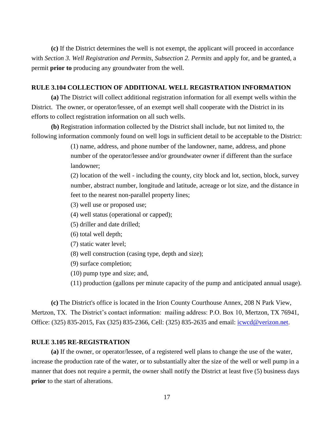**(c)** If the District determines the well is not exempt, the applicant will proceed in accordance with *Section 3. Well Registration and Permits, Subsection 2. Permits* and apply for, and be granted, a permit **prior to** producing any groundwater from the well.

## **RULE 3.104 COLLECTION OF ADDITIONAL WELL REGISTRATION INFORMATION**

**(a)** The District will collect additional registration information for all exempt wells within the District. The owner, or operator/lessee, of an exempt well shall cooperate with the District in its efforts to collect registration information on all such wells.

**(b)** Registration information collected by the District shall include, but not limited to, the following information commonly found on well logs in sufficient detail to be acceptable to the District:

> (1) name, address, and phone number of the landowner, name, address, and phone number of the operator/lessee and/or groundwater owner if different than the surface landowner;

(2) location of the well - including the county, city block and lot, section, block, survey number, abstract number, longitude and latitude, acreage or lot size, and the distance in feet to the nearest non-parallel property lines;

- (3) well use or proposed use;
- (4) well status (operational or capped);
- (5) driller and date drilled;
- (6) total well depth;
- (7) static water level;
- (8) well construction (casing type, depth and size);
- (9) surface completion;
- (10) pump type and size; and,
- (11) production (gallons per minute capacity of the pump and anticipated annual usage).

**(c)** The District's office is located in the Irion County Courthouse Annex, 208 N Park View, Mertzon, TX. The District's contact information: mailing address: P.O. Box 10, Mertzon, TX 76941, Office: (325) 835-2015, Fax (325) 835-2366, Cell: (325) 835-2635 and email: [icwcd@verizon.net.](mailto:icwcd@airmail.net.)

## **RULE 3.105 RE-REGISTRATION**

**(a)** If the owner, or operator/lessee, of a registered well plans to change the use of the water, increase the production rate of the water, or to substantially alter the size of the well or well pump in a manner that does not require a permit, the owner shall notify the District at least five (5) business days **prior** to the start of alterations.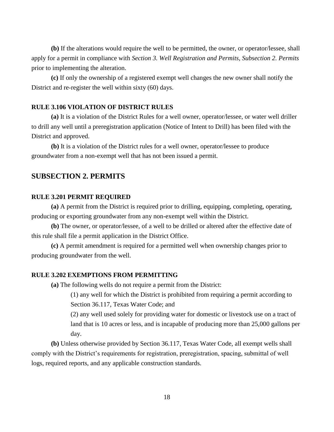**(b)** If the alterations would require the well to be permitted, the owner, or operator/lessee, shall apply for a permit in compliance with *Section 3. Well Registration and Permits, Subsection 2. Permits* prior to implementing the alteration.

**(c)** If only the ownership of a registered exempt well changes the new owner shall notify the District and re-register the well within sixty (60) days.

## **RULE 3.106 VIOLATION OF DISTRICT RULES**

**(a)** It is a violation of the District Rules for a well owner, operator/lessee, or water well driller to drill any well until a preregistration application (Notice of Intent to Drill) has been filed with the District and approved.

**(b)** It is a violation of the District rules for a well owner, operator/lessee to produce groundwater from a non-exempt well that has not been issued a permit.

## **SUBSECTION 2. PERMITS**

### **RULE 3.201 PERMIT REQUIRED**

**(a)** A permit from the District is required prior to drilling, equipping, completing, operating, producing or exporting groundwater from any non-exempt well within the District.

**(b)** The owner, or operator/lessee, of a well to be drilled or altered after the effective date of this rule shall file a permit application in the District Office.

**(c)** A permit amendment is required for a permitted well when ownership changes prior to producing groundwater from the well.

#### **RULE 3.202 EXEMPTIONS FROM PERMITTING**

**(a)** The following wells do not require a permit from the District:

(1) any well for which the District is prohibited from requiring a permit according to Section 36.117, Texas Water Code; and

(2) any well used solely for providing water for domestic or livestock use on a tract of land that is 10 acres or less, and is incapable of producing more than 25,000 gallons per day.

**(b)** Unless otherwise provided by Section 36.117, Texas Water Code, all exempt wells shall comply with the District's requirements for registration, preregistration, spacing, submittal of well logs, required reports, and any applicable construction standards.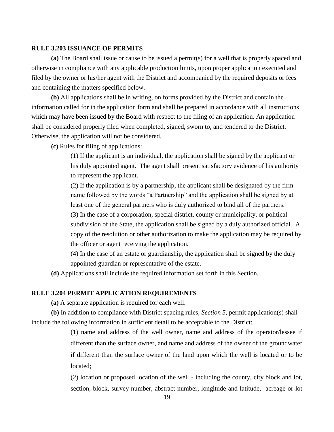## **RULE 3.203 ISSUANCE OF PERMITS**

**(a)** The Board shall issue or cause to be issued a permit(s) for a well that is properly spaced and otherwise in compliance with any applicable production limits, upon proper application executed and filed by the owner or his/her agent with the District and accompanied by the required deposits or fees and containing the matters specified below.

**(b)** All applications shall be in writing, on forms provided by the District and contain the information called for in the application form and shall be prepared in accordance with all instructions which may have been issued by the Board with respect to the filing of an application. An application shall be considered properly filed when completed, signed, sworn to, and tendered to the District. Otherwise, the application will not be considered.

**(c)** Rules for filing of applications:

(1) If the applicant is an individual, the application shall be signed by the applicant or his duly appointed agent. The agent shall present satisfactory evidence of his authority to represent the applicant.

(2) If the application is by a partnership, the applicant shall be designated by the firm name followed by the words "a Partnership" and the application shall be signed by at least one of the general partners who is duly authorized to bind all of the partners. (3) In the case of a corporation, special district, county or municipality, or political subdivision of the State, the application shall be signed by a duly authorized official. A copy of the resolution or other authorization to make the application may be required by the officer or agent receiving the application.

(4) In the case of an estate or guardianship, the application shall be signed by the duly appointed guardian or representative of the estate.

**(d)** Applications shall include the required information set forth in this Section.

## **RULE 3.204 PERMIT APPLICATION REQUIREMENTS**

**(a)** A separate application is required for each well.

**(b)** In addition to compliance with District spacing rules, *Section 5*, permit application(s) shall include the following information in sufficient detail to be acceptable to the District:

> (1) name and address of the well owner, name and address of the operator/lessee if different than the surface owner, and name and address of the owner of the groundwater if different than the surface owner of the land upon which the well is located or to be located;

> (2) location or proposed location of the well - including the county, city block and lot, section, block, survey number, abstract number, longitude and latitude, acreage or lot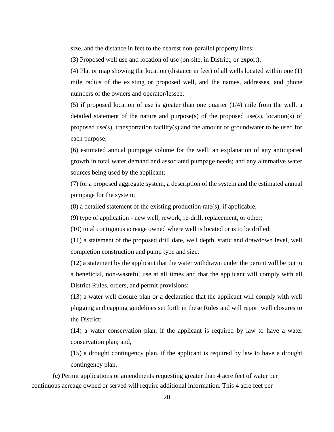size, and the distance in feet to the nearest non-parallel property lines;

(3) Proposed well use and location of use (on-site, in District, or export);

(4) Plat or map showing the location (distance in feet) of all wells located within one (1) mile radius of the existing or proposed well, and the names, addresses, and phone numbers of the owners and operator/lessee;

(5) if proposed location of use is greater than one quarter (1/4) mile from the well, a detailed statement of the nature and purpose $(s)$  of the proposed use $(s)$ , location $(s)$  of proposed use(s), transportation facility(s) and the amount of groundwater to be used for each purpose;

(6) estimated annual pumpage volume for the well; an explanation of any anticipated growth in total water demand and associated pumpage needs; and any alternative water sources being used by the applicant;

(7) for a proposed aggregate system, a description of the system and the estimated annual pumpage for the system;

(8) a detailed statement of the existing production rate(s), if applicable;

(9) type of application - new well, rework, re-drill, replacement, or other;

(10) total contiguous acreage owned where well is located or is to be drilled;

(11) a statement of the proposed drill date, well depth, static and drawdown level, well completion construction and pump type and size;

(12) a statement by the applicant that the water withdrawn under the permit will be put to a beneficial, non-wasteful use at all times and that the applicant will comply with all District Rules, orders, and permit provisions;

(13) a water well closure plan or a declaration that the applicant will comply with well plugging and capping guidelines set forth in these Rules and will report well closures to the District;

(14) a water conservation plan, if the applicant is required by law to have a water conservation plan; and,

(15) a drought contingency plan, if the applicant is required by law to have a drought contingency plan.

**(c)** Permit applications or amendments requesting greater than 4 acre feet of water per continuous acreage owned or served will require additional information. This 4 acre feet per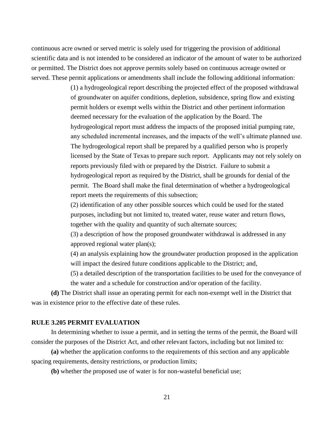continuous acre owned or served metric is solely used for triggering the provision of additional scientific data and is not intended to be considered an indicator of the amount of water to be authorized or permitted. The District does not approve permits solely based on continuous acreage owned or served. These permit applications or amendments shall include the following additional information:

> (1) a hydrogeological report describing the projected effect of the proposed withdrawal of groundwater on aquifer conditions, depletion, subsidence, spring flow and existing permit holders or exempt wells within the District and other pertinent information deemed necessary for the evaluation of the application by the Board. The hydrogeological report must address the impacts of the proposed initial pumping rate, any scheduled incremental increases, and the impacts of the well's ultimate planned use. The hydrogeological report shall be prepared by a qualified person who is properly licensed by the State of Texas to prepare such report. Applicants may not rely solely on reports previously filed with or prepared by the District. Failure to submit a hydrogeological report as required by the District, shall be grounds for denial of the permit. The Board shall make the final determination of whether a hydrogeological report meets the requirements of this subsection;

(2) identification of any other possible sources which could be used for the stated purposes, including but not limited to, treated water, reuse water and return flows, together with the quality and quantity of such alternate sources;

(3) a description of how the proposed groundwater withdrawal is addressed in any approved regional water plan(s);

(4) an analysis explaining how the groundwater production proposed in the application will impact the desired future conditions applicable to the District; and,

(5) a detailed description of the transportation facilities to be used for the conveyance of the water and a schedule for construction and/or operation of the facility.

**(d)** The District shall issue an operating permit for each non-exempt well in the District that was in existence prior to the effective date of these rules.

#### **RULE 3.205 PERMIT EVALUATION**

In determining whether to issue a permit, and in setting the terms of the permit, the Board will consider the purposes of the District Act, and other relevant factors, including but not limited to:

**(a)** whether the application conforms to the requirements of this section and any applicable spacing requirements, density restrictions, or production limits;

**(b)** whether the proposed use of water is for non-wasteful beneficial use;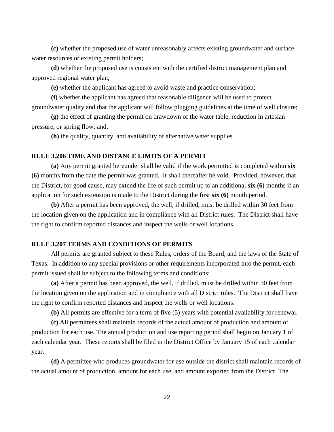**(c)** whether the proposed use of water unreasonably affects existing groundwater and surface water resources or existing permit holders;

**(d)** whether the proposed use is consistent with the certified district management plan and approved regional water plan;

**(e)** whether the applicant has agreed to avoid waste and practice conservation;

**(f)** whether the applicant has agreed that reasonable diligence will be used to protect groundwater quality and that the applicant will follow plugging guidelines at the time of well closure;

**(g)** the effect of granting the permit on drawdown of the water table, reduction in artesian pressure, or spring flow; and,

**(h)** the quality, quantity, and availability of alternative water supplies.

## **RULE 3.206 TIME AND DISTANCE LIMITS OF A PERMIT**

**(a)** Any permit granted hereunder shall be valid if the work permitted is completed within **six (6)** months from the date the permit was granted. It shall thereafter be void. Provided, however, that the District, for good cause, may extend the life of such permit up to an additional **six (6)** months if an application for such extension is made to the District during the first **six (6)** month period.

**(b)** After a permit has been approved, the well, if drilled, must be drilled within 30 feet from the location given on the application and in compliance with all District rules. The District shall have the right to confirm reported distances and inspect the wells or well locations.

## **RULE 3.207 TERMS AND CONDITIONS OF PERMITS**

All permits are granted subject to these Rules, orders of the Board, and the laws of the State of Texas. In addition to any special provisions or other requirements incorporated into the permit, each permit issued shall be subject to the following terms and conditions:

**(a)** After a permit has been approved, the well, if drilled, must be drilled within 30 feet from the location given on the application and in compliance with all District rules. The District shall have the right to confirm reported distances and inspect the wells or well locations.

**(b)** All permits are effective for a term of five (5) years with potential availability for renewal.

**(c)** All permittees shall maintain records of the actual amount of production and amount of production for each use. The annual production and use reporting period shall begin on January 1 of each calendar year. These reports shall be filed in the District Office by January 15 of each calendar year.

**(d)** A permittee who produces groundwater for use outside the district shall maintain records of the actual amount of production, amount for each use, and amount exported from the District. The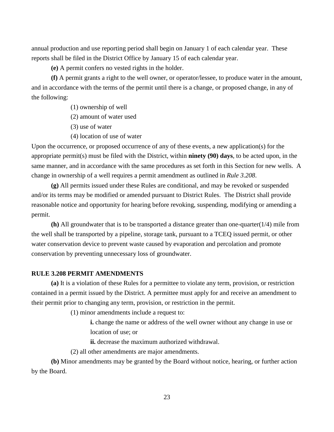annual production and use reporting period shall begin on January 1 of each calendar year. These reports shall be filed in the District Office by January 15 of each calendar year.

**(e)** A permit confers no vested rights in the holder.

**(f)** A permit grants a right to the well owner, or operator/lessee, to produce water in the amount, and in accordance with the terms of the permit until there is a change, or proposed change, in any of the following:

- (1) ownership of well
- (2) amount of water used
- (3) use of water
- (4) location of use of water

Upon the occurrence, or proposed occurrence of any of these events, a new application(s) for the appropriate permit(s) must be filed with the District, within **ninety (90) days**, to be acted upon, in the same manner, and in accordance with the same procedures as set forth in this Section for new wells. A change in ownership of a well requires a permit amendment as outlined in *Rule 3.208*.

**(g)** All permits issued under these Rules are conditional, and may be revoked or suspended and/or its terms may be modified or amended pursuant to District Rules. The District shall provide reasonable notice and opportunity for hearing before revoking, suspending, modifying or amending a permit.

**(h)** All groundwater that is to be transported a distance greater than one-quarter(1/4) mile from the well shall be transported by a pipeline, storage tank, pursuant to a TCEQ issued permit, or other water conservation device to prevent waste caused by evaporation and percolation and promote conservation by preventing unnecessary loss of groundwater.

## **RULE 3.208 PERMIT AMENDMENTS**

**(a)** It is a violation of these Rules for a permittee to violate any term, provision, or restriction contained in a permit issued by the District. A permittee must apply for and receive an amendment to their permit prior to changing any term, provision, or restriction in the permit.

(1) minor amendments include a request to:

**i.** change the name or address of the well owner without any change in use or location of use; or

**ii.** decrease the maximum authorized withdrawal.

(2) all other amendments are major amendments.

**(b)** Minor amendments may be granted by the Board without notice, hearing, or further action by the Board.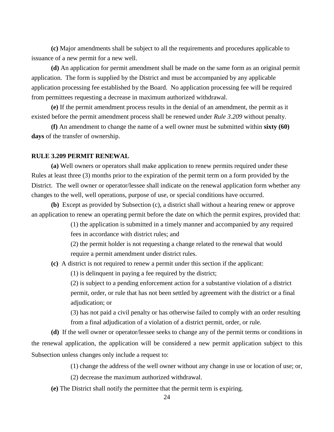**(c)** Major amendments shall be subject to all the requirements and procedures applicable to issuance of a new permit for a new well.

**(d)** An application for permit amendment shall be made on the same form as an original permit application. The form is supplied by the District and must be accompanied by any applicable application processing fee established by the Board. No application processing fee will be required from permittees requesting a decrease in maximum authorized withdrawal.

**(e)** If the permit amendment process results in the denial of an amendment, the permit as it existed before the permit amendment process shall be renewed under *Rule 3.209* without penalty.

**(f)** An amendment to change the name of a well owner must be submitted within **sixty (60) days** of the transfer of ownership.

## **RULE 3.209 PERMIT RENEWAL**

**(a)** Well owners or operators shall make application to renew permits required under these Rules at least three (3) months prior to the expiration of the permit term on a form provided by the District. The well owner or operator/lessee shall indicate on the renewal application form whether any changes to the well, well operations, purpose of use, or special conditions have occurred.

**(b)** Except as provided by Subsection (c), a district shall without a hearing renew or approve an application to renew an operating permit before the date on which the permit expires, provided that:

> (1) the application is submitted in a timely manner and accompanied by any required fees in accordance with district rules; and

(2) the permit holder is not requesting a change related to the renewal that would require a permit amendment under district rules.

**(c)** A district is not required to renew a permit under this section if the applicant:

(1) is delinquent in paying a fee required by the district;

(2) is subject to a pending enforcement action for a substantive violation of a district permit, order, or rule that has not been settled by agreement with the district or a final adjudication; or

(3) has not paid a civil penalty or has otherwise failed to comply with an order resulting from a final adjudication of a violation of a district permit, order, or rule.

**(d)** If the well owner or operator/lessee seeks to change any of the permit terms or conditions in the renewal application, the application will be considered a new permit application subject to this Subsection unless changes only include a request to:

(1) change the address of the well owner without any change in use or location of use; or,

(2) decrease the maximum authorized withdrawal.

**(e)** The District shall notify the permittee that the permit term is expiring.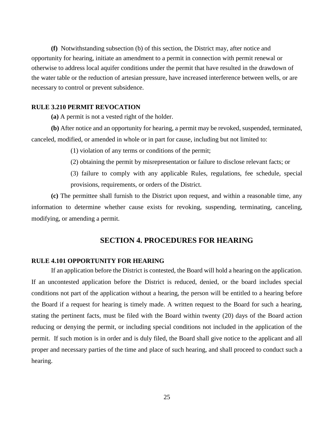**(f)** Notwithstanding subsection (b) of this section, the District may, after notice and opportunity for hearing, initiate an amendment to a permit in connection with permit renewal or otherwise to address local aquifer conditions under the permit that have resulted in the drawdown of the water table or the reduction of artesian pressure, have increased interference between wells, or are necessary to control or prevent subsidence.

#### **RULE 3.210 PERMIT REVOCATION**

**(a)** A permit is not a vested right of the holder.

**(b)** After notice and an opportunity for hearing, a permit may be revoked, suspended, terminated, canceled, modified, or amended in whole or in part for cause, including but not limited to:

(1) violation of any terms or conditions of the permit;

- (2) obtaining the permit by misrepresentation or failure to disclose relevant facts; or
- (3) failure to comply with any applicable Rules, regulations, fee schedule, special provisions, requirements, or orders of the District.

**(c)** The permittee shall furnish to the District upon request, and within a reasonable time, any information to determine whether cause exists for revoking, suspending, terminating, canceling, modifying, or amending a permit.

## **SECTION 4. PROCEDURES FOR HEARING**

## **RULE 4.101 OPPORTUNITY FOR HEARING**

If an application before the District is contested, the Board will hold a hearing on the application. If an uncontested application before the District is reduced, denied, or the board includes special conditions not part of the application without a hearing, the person will be entitled to a hearing before the Board if a request for hearing is timely made. A written request to the Board for such a hearing, stating the pertinent facts, must be filed with the Board within twenty (20) days of the Board action reducing or denying the permit, or including special conditions not included in the application of the permit. If such motion is in order and is duly filed, the Board shall give notice to the applicant and all proper and necessary parties of the time and place of such hearing, and shall proceed to conduct such a hearing.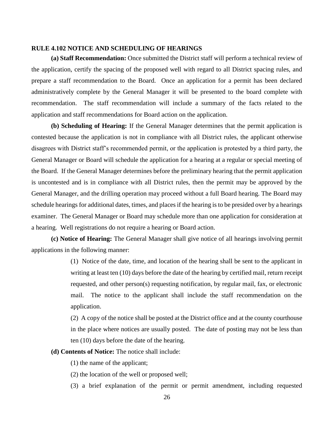## **RULE 4.102 NOTICE AND SCHEDULING OF HEARINGS**

**(a) Staff Recommendation:** Once submitted the District staff will perform a technical review of the application, certify the spacing of the proposed well with regard to all District spacing rules, and prepare a staff recommendation to the Board. Once an application for a permit has been declared administratively complete by the General Manager it will be presented to the board complete with recommendation. The staff recommendation will include a summary of the facts related to the application and staff recommendations for Board action on the application.

**(b) Scheduling of Hearing:** If the General Manager determines that the permit application is contested because the application is not in compliance with all District rules, the applicant otherwise disagrees with District staff's recommended permit, or the application is protested by a third party, the General Manager or Board will schedule the application for a hearing at a regular or special meeting of the Board. If the General Manager determines before the preliminary hearing that the permit application is uncontested and is in compliance with all District rules, then the permit may be approved by the General Manager, and the drilling operation may proceed without a full Board hearing. The Board may schedule hearings for additional dates, times, and places if the hearing is to be presided over by a hearings examiner. The General Manager or Board may schedule more than one application for consideration at a hearing. Well registrations do not require a hearing or Board action.

**(c) Notice of Hearing:** The General Manager shall give notice of all hearings involving permit applications in the following manner:

> (1) Notice of the date, time, and location of the hearing shall be sent to the applicant in writing at least ten (10) days before the date of the hearing by certified mail, return receipt requested, and other person(s) requesting notification, by regular mail, fax, or electronic mail. The notice to the applicant shall include the staff recommendation on the application.

> (2) A copy of the notice shall be posted at the District office and at the county courthouse in the place where notices are usually posted. The date of posting may not be less than ten (10) days before the date of the hearing.

**(d) Contents of Notice:** The notice shall include:

(1) the name of the applicant;

(2) the location of the well or proposed well;

(3) a brief explanation of the permit or permit amendment, including requested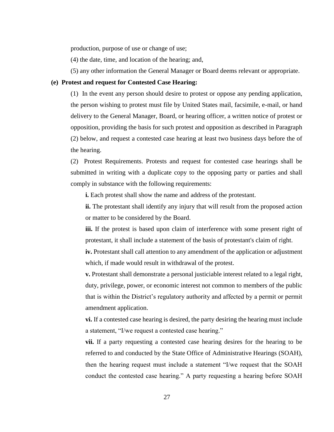production, purpose of use or change of use;

(4) the date, time, and location of the hearing; and,

(5) any other information the General Manager or Board deems relevant or appropriate.

#### **(e) Protest and request for Contested Case Hearing:**

(1) In the event any person should desire to protest or oppose any pending application, the person wishing to protest must file by United States mail, facsimile, e-mail, or hand delivery to the General Manager, Board, or hearing officer, a written notice of protest or opposition, providing the basis for such protest and opposition as described in Paragraph (2) below, and request a contested case hearing at least two business days before the of the hearing.

(2) Protest Requirements. Protests and request for contested case hearings shall be submitted in writing with a duplicate copy to the opposing party or parties and shall comply in substance with the following requirements:

**i.** Each protest shall show the name and address of the protestant.

**ii.** The protestant shall identify any injury that will result from the proposed action or matter to be considered by the Board.

**iii.** If the protest is based upon claim of interference with some present right of protestant, it shall include a statement of the basis of protestant's claim of right.

**iv.** Protestant shall call attention to any amendment of the application or adjustment which, if made would result in withdrawal of the protest.

**v.** Protestant shall demonstrate a personal justiciable interest related to a legal right, duty, privilege, power, or economic interest not common to members of the public that is within the District's regulatory authority and affected by a permit or permit amendment application.

**vi.** If a contested case hearing is desired, the party desiring the hearing must include a statement, "I/we request a contested case hearing."

**vii.** If a party requesting a contested case hearing desires for the hearing to be referred to and conducted by the State Office of Administrative Hearings (SOAH), then the hearing request must include a statement "I/we request that the SOAH conduct the contested case hearing." A party requesting a hearing before SOAH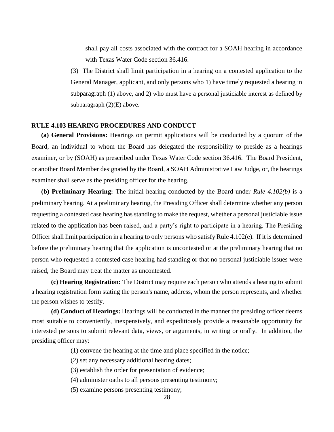shall pay all costs associated with the contract for a SOAH hearing in accordance with Texas Water Code section 36.416.

(3) The District shall limit participation in a hearing on a contested application to the General Manager, applicant, and only persons who 1) have timely requested a hearing in subparagraph (1) above, and 2) who must have a personal justiciable interest as defined by subparagraph (2)(E) above.

## **RULE 4.103 HEARING PROCEDURES AND CONDUCT**

**(a) General Provisions:** Hearings on permit applications will be conducted by a quorum of the Board, an individual to whom the Board has delegated the responsibility to preside as a hearings examiner, or by (SOAH) as prescribed under Texas Water Code section 36.416. The Board President, or another Board Member designated by the Board, a SOAH Administrative Law Judge, or, the hearings examiner shall serve as the presiding officer for the hearing.

**(b) Preliminary Hearing:** The initial hearing conducted by the Board under *Rule 4.102(b)* is a preliminary hearing. At a preliminary hearing, the Presiding Officer shall determine whether any person requesting a contested case hearing has standing to make the request, whether a personal justiciable issue related to the application has been raised, and a party's right to participate in a hearing. The Presiding Officer shall limit participation in a hearing to only persons who satisfy Rule 4.102(e). If it is determined before the preliminary hearing that the application is uncontested or at the preliminary hearing that no person who requested a contested case hearing had standing or that no personal justiciable issues were raised, the Board may treat the matter as uncontested.

**(c) Hearing Registration:** The District may require each person who attends a hearing to submit a hearing registration form stating the person's name, address, whom the person represents, and whether the person wishes to testify.

**(d) Conduct of Hearings:** Hearings will be conducted in the manner the presiding officer deems most suitable to conveniently, inexpensively, and expeditiously provide a reasonable opportunity for interested persons to submit relevant data, views, or arguments, in writing or orally. In addition, the presiding officer may:

(1) convene the hearing at the time and place specified in the notice;

- (2) set any necessary additional hearing dates;
- (3) establish the order for presentation of evidence;
- (4) administer oaths to all persons presenting testimony;
- (5) examine persons presenting testimony;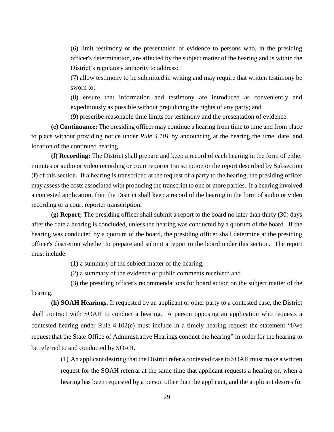(6) limit testimony or the presentation of evidence to persons who, in the presiding officer's determination, are affected by the subject matter of the hearing and is within the District's regulatory authority to address;

(7) allow testimony to be submitted in writing and may require that written testimony be sworn to;

(8) ensure that information and testimony are introduced as conveniently and expeditiously as possible without prejudicing the rights of any party; and

(9) prescribe reasonable time limits for testimony and the presentation of evidence.

**(e) Continuance:** The presiding officer may continue a hearing from time to time and from place to place without providing notice under *Rule 4.101* by announcing at the hearing the time, date, and location of the continued hearing.

**(f) Recording:** The District shall prepare and keep a record of each hearing in the form of either minutes or audio or video recording or court reporter transcription or the report described by Subsection (f) of this section. If a hearing is transcribed at the request of a party to the hearing, the presiding officer may assess the costs associated with producing the transcript to one or more parties. If a hearing involved a contested application, then the District shall keep a record of the hearing in the form of audio or video recording or a court reporter transcription.

**(g) Report;** The presiding officer shall submit a report to the board no later than thirty (30) days after the date a hearing is concluded, unless the hearing was conducted by a quorum of the board. If the hearing was conducted by a quorum of the board, the presiding officer shall determine at the presiding officer's discretion whether to prepare and submit a report to the board under this section. The report must include:

(1) a summary of the subject matter of the hearing;

(2) a summary of the evidence or public comments received; and

(3) the presiding officer's recommendations for board action on the subject matter of the hearing.

**(h) SOAH Hearings.** If requested by an applicant or other party to a contested case, the District shall contract with SOAH to conduct a hearing. A person opposing an application who requests a contested hearing under Rule 4.102(e) must include in a timely hearing request the statement "I/we request that the State Office of Administrative Hearings conduct the hearing" in order for the hearing to be referred to and conducted by SOAH.

> (1) An applicant desiring that the District refer a contested case to SOAH must make a written request for the SOAH referral at the same time that applicant requests a hearing or, when a hearing has been requested by a person other than the applicant, and the applicant desires for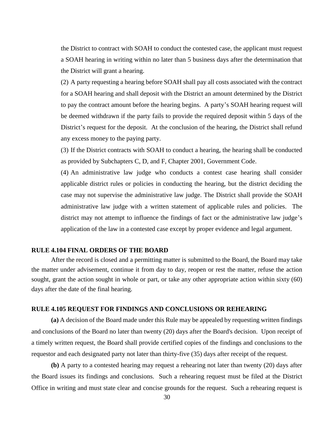the District to contract with SOAH to conduct the contested case, the applicant must request a SOAH hearing in writing within no later than 5 business days after the determination that the District will grant a hearing.

(2) A party requesting a hearing before SOAH shall pay all costs associated with the contract for a SOAH hearing and shall deposit with the District an amount determined by the District to pay the contract amount before the hearing begins. A party's SOAH hearing request will be deemed withdrawn if the party fails to provide the required deposit within 5 days of the District's request for the deposit. At the conclusion of the hearing, the District shall refund any excess money to the paying party.

(3) If the District contracts with SOAH to conduct a hearing, the hearing shall be conducted as provided by Subchapters C, D, and F, Chapter 2001, Government Code.

(4) An administrative law judge who conducts a contest case hearing shall consider applicable district rules or policies in conducting the hearing, but the district deciding the case may not supervise the administrative law judge. The District shall provide the SOAH administrative law judge with a written statement of applicable rules and policies. The district may not attempt to influence the findings of fact or the administrative law judge's application of the law in a contested case except by proper evidence and legal argument.

## **RULE 4.104 FINAL ORDERS OF THE BOARD**

After the record is closed and a permitting matter is submitted to the Board, the Board may take the matter under advisement, continue it from day to day, reopen or rest the matter, refuse the action sought, grant the action sought in whole or part, or take any other appropriate action within sixty (60) days after the date of the final hearing.

#### **RULE 4.105 REQUEST FOR FINDINGS AND CONCLUSIONS OR REHEARING**

**(a)** A decision of the Board made under this Rule may be appealed by requesting written findings and conclusions of the Board no later than twenty (20) days after the Board's decision. Upon receipt of a timely written request, the Board shall provide certified copies of the findings and conclusions to the requestor and each designated party not later than thirty-five (35) days after receipt of the request.

**(b)** A party to a contested hearing may request a rehearing not later than twenty (20) days after the Board issues its findings and conclusions. Such a rehearing request must be filed at the District Office in writing and must state clear and concise grounds for the request. Such a rehearing request is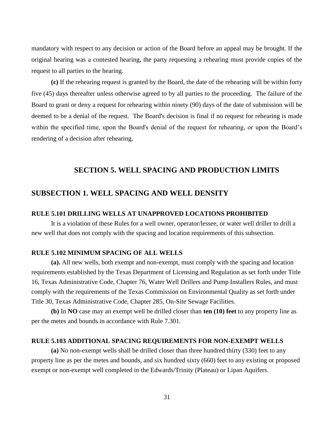mandatory with respect to any decision or action of the Board before an appeal may be brought. If the original hearing was a contested hearing, the party requesting a rehearing must provide copies of the request to all parties to the hearing.

**(c)** If the rehearing request is granted by the Board, the date of the rehearing will be within forty five (45) days thereafter unless otherwise agreed to by all parties to the proceeding. The failure of the Board to grant or deny a request for rehearing within ninety (90) days of the date of submission will be deemed to be a denial of the request. The Board's decision is final if no request for rehearing is made within the specified time, upon the Board's denial of the request for rehearing, or upon the Board's rendering of a decision after rehearing.

## **SECTION 5. WELL SPACING AND PRODUCTION LIMITS**

## **SUBSECTION 1. WELL SPACING AND WELL DENSITY**

## **RULE 5.101 DRILLING WELLS AT UNAPPROVED LOCATIONS PROHIBITED**

It is a violation of these Rules for a well owner, operator/lessee, or water well driller to drill a new well that does not comply with the spacing and location requirements of this subsection.

## **RULE 5.102 MINIMUM SPACING OF ALL WELLS**

**(a).** All new wells, both exempt and non-exempt, must comply with the spacing and location requirements established by the Texas Department of Licensing and Regulation as set forth under Title 16, Texas Administrative Code, Chapter 76, Water Well Drillers and Pump Installers Rules, and must comply with the requirements of the Texas Commission on Environmental Quality as set forth under Title 30, Texas Administrative Code, Chapter 285, On-Site Sewage Facilities.

**(b)** In **NO** case may an exempt well be drilled closer than **ten (10) feet** to any property line as per the metes and bounds in accordance with Rule 7.301.

#### **RULE 5.103 ADDITIONAL SPACING REQUIREMENTS FOR NON-EXEMPT WELLS**

**(a)** No non-exempt wells shall be drilled closer than three hundred thirty (330) feet to any property line as per the metes and bounds, and six hundred sixty (660) feet to any existing or proposed exempt or non-exempt well completed in the Edwards/Trinity (Plateau) or Lipan Aquifers.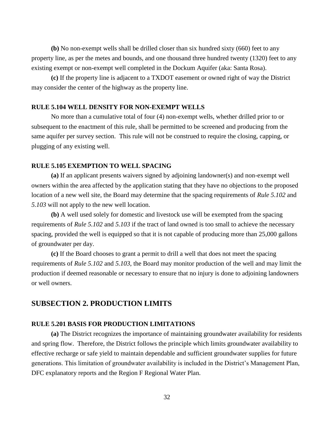**(b)** No non-exempt wells shall be drilled closer than six hundred sixty (660) feet to any property line, as per the metes and bounds, and one thousand three hundred twenty (1320) feet to any existing exempt or non-exempt well completed in the Dockum Aquifer (aka: Santa Rosa).

**(c)** If the property line is adjacent to a TXDOT easement or owned right of way the District may consider the center of the highway as the property line.

#### **RULE 5.104 WELL DENSITY FOR NON-EXEMPT WELLS**

No more than a cumulative total of four (4) non-exempt wells, whether drilled prior to or subsequent to the enactment of this rule, shall be permitted to be screened and producing from the same aquifer per survey section. This rule will not be construed to require the closing, capping, or plugging of any existing well.

## **RULE 5.105 EXEMPTION TO WELL SPACING**

**(a)** If an applicant presents waivers signed by adjoining landowner(s) and non-exempt well owners within the area affected by the application stating that they have no objections to the proposed location of a new well site, the Board may determine that the spacing requirements of *Rule 5.102* and *5.103* will not apply to the new well location.

**(b)** A well used solely for domestic and livestock use will be exempted from the spacing requirements of *Rule 5.102* and *5.103* if the tract of land owned is too small to achieve the necessary spacing, provided the well is equipped so that it is not capable of producing more than 25,000 gallons of groundwater per day.

**(c)** If the Board chooses to grant a permit to drill a well that does not meet the spacing requirements of *Rule 5.102* and *5.103*, the Board may monitor production of the well and may limit the production if deemed reasonable or necessary to ensure that no injury is done to adjoining landowners or well owners.

## **SUBSECTION 2. PRODUCTION LIMITS**

## **RULE 5.201 BASIS FOR PRODUCTION LIMITATIONS**

**(a)** The District recognizes the importance of maintaining groundwater availability for residents and spring flow. Therefore, the District follows the principle which limits groundwater availability to effective recharge or safe yield to maintain dependable and sufficient groundwater supplies for future generations. This limitation of groundwater availability is included in the District's Management Plan, DFC explanatory reports and the Region F Regional Water Plan.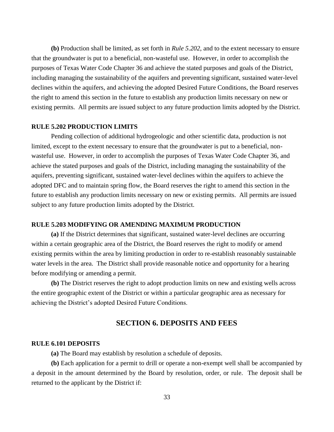**(b)** Production shall be limited, as set forth in *Rule 5.202*, and to the extent necessary to ensure that the groundwater is put to a beneficial, non-wasteful use. However, in order to accomplish the purposes of Texas Water Code Chapter 36 and achieve the stated purposes and goals of the District, including managing the sustainability of the aquifers and preventing significant, sustained water-level declines within the aquifers, and achieving the adopted Desired Future Conditions, the Board reserves the right to amend this section in the future to establish any production limits necessary on new or existing permits. All permits are issued subject to any future production limits adopted by the District.

## **RULE 5.202 PRODUCTION LIMITS**

Pending collection of additional hydrogeologic and other scientific data, production is not limited, except to the extent necessary to ensure that the groundwater is put to a beneficial, nonwasteful use. However, in order to accomplish the purposes of Texas Water Code Chapter 36, and achieve the stated purposes and goals of the District, including managing the sustainability of the aquifers, preventing significant, sustained water-level declines within the aquifers to achieve the adopted DFC and to maintain spring flow, the Board reserves the right to amend this section in the future to establish any production limits necessary on new or existing permits. All permits are issued subject to any future production limits adopted by the District.

## **RULE 5.203 MODIFYING OR AMENDING MAXIMUM PRODUCTION**

**(a)** If the District determines that significant, sustained water-level declines are occurring within a certain geographic area of the District, the Board reserves the right to modify or amend existing permits within the area by limiting production in order to re-establish reasonably sustainable water levels in the area. The District shall provide reasonable notice and opportunity for a hearing before modifying or amending a permit.

**(b)** The District reserves the right to adopt production limits on new and existing wells across the entire geographic extent of the District or within a particular geographic area as necessary for achieving the District's adopted Desired Future Conditions.

## **SECTION 6. DEPOSITS AND FEES**

#### **RULE 6.101 DEPOSITS**

**(a)** The Board may establish by resolution a schedule of deposits.

**(b)** Each application for a permit to drill or operate a non-exempt well shall be accompanied by a deposit in the amount determined by the Board by resolution, order, or rule. The deposit shall be returned to the applicant by the District if: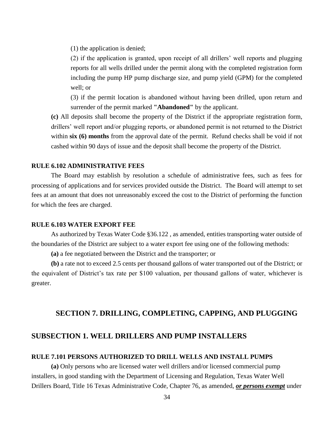(1) the application is denied;

(2) if the application is granted, upon receipt of all drillers' well reports and plugging reports for all wells drilled under the permit along with the completed registration form including the pump HP pump discharge size, and pump yield (GPM) for the completed well; or

(3) if the permit location is abandoned without having been drilled, upon return and surrender of the permit marked **"Abandoned"** by the applicant.

**(c)** All deposits shall become the property of the District if the appropriate registration form, drillers' well report and/or plugging reports, or abandoned permit is not returned to the District within **six (6) months** from the approval date of the permit. Refund checks shall be void if not cashed within 90 days of issue and the deposit shall become the property of the District.

## **RULE 6.102 ADMINISTRATIVE FEES**

The Board may establish by resolution a schedule of administrative fees, such as fees for processing of applications and for services provided outside the District. The Board will attempt to set fees at an amount that does not unreasonably exceed the cost to the District of performing the function for which the fees are charged.

## **RULE 6.103 WATER EXPORT FEE**

As authorized by Texas Water Code §36.122 , as amended, entities transporting water outside of the boundaries of the District are subject to a water export fee using one of the following methods:

**(a)** a fee negotiated between the District and the transporter; or

**(b)** a rate not to exceed 2.5 cents per thousand gallons of water transported out of the District; or the equivalent of District's tax rate per \$100 valuation, per thousand gallons of water, whichever is greater.

## **SECTION 7. DRILLING, COMPLETING, CAPPING, AND PLUGGING**

## **SUBSECTION 1. WELL DRILLERS AND PUMP INSTALLERS**

#### **RULE 7.101 PERSONS AUTHORIZED TO DRILL WELLS AND INSTALL PUMPS**

**(a)** Only persons who are licensed water well drillers and/or licensed commercial pump installers, in good standing with the Department of Licensing and Regulation, Texas Water Well Drillers Board, Title 16 Texas Administrative Code, Chapter 76, as amended, *or persons exempt* under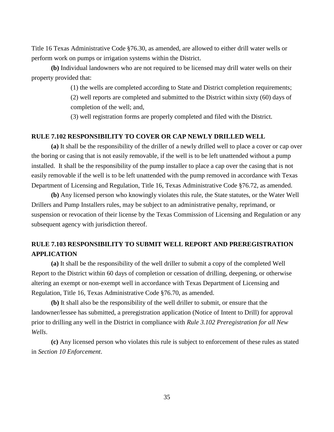Title 16 Texas Administrative Code §76.30, as amended, are allowed to either drill water wells or perform work on pumps or irrigation systems within the District.

**(b)** Individual landowners who are not required to be licensed may drill water wells on their property provided that:

(1) the wells are completed according to State and District completion requirements;

(2) well reports are completed and submitted to the District within sixty (60) days of completion of the well; and,

(3) well registration forms are properly completed and filed with the District.

## **RULE 7.102 RESPONSIBILITY TO COVER OR CAP NEWLY DRILLED WELL**

**(a)** It shall be the responsibility of the driller of a newly drilled well to place a cover or cap over the boring or casing that is not easily removable, if the well is to be left unattended without a pump installed. It shall be the responsibility of the pump installer to place a cap over the casing that is not easily removable if the well is to be left unattended with the pump removed in accordance with Texas Department of Licensing and Regulation, Title 16, Texas Administrative Code §76.72, as amended.

**(b)** Any licensed person who knowingly violates this rule, the State statutes, or the Water Well Drillers and Pump Installers rules, may be subject to an administrative penalty, reprimand, or suspension or revocation of their license by the Texas Commission of Licensing and Regulation or any subsequent agency with jurisdiction thereof.

## **RULE 7.103 RESPONSIBILITY TO SUBMIT WELL REPORT AND PREREGISTRATION APPLICATION**

**(a)** It shall be the responsibility of the well driller to submit a copy of the completed Well Report to the District within 60 days of completion or cessation of drilling, deepening, or otherwise altering an exempt or non-exempt well in accordance with Texas Department of Licensing and Regulation, Title 16, Texas Administrative Code §76.70, as amended.

**(b)** It shall also be the responsibility of the well driller to submit, or ensure that the landowner/lessee has submitted, a preregistration application (Notice of Intent to Drill) for approval prior to drilling any well in the District in compliance with *Rule 3.102 Preregistration for all New Wells*.

**(c)** Any licensed person who violates this rule is subject to enforcement of these rules as stated in *Section 10 Enforcement*.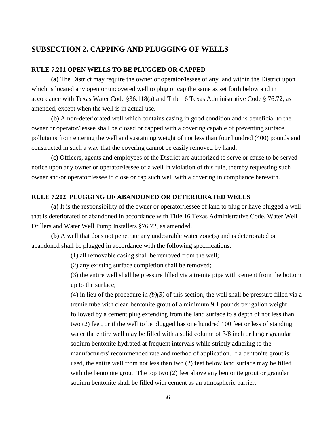## **SUBSECTION 2. CAPPING AND PLUGGING OF WELLS**

## **RULE 7.201 OPEN WELLS TO BE PLUGGED OR CAPPED**

**(a)** The District may require the owner or operator/lessee of any land within the District upon which is located any open or uncovered well to plug or cap the same as set forth below and in accordance with Texas Water Code §36.118(a) and Title 16 Texas Administrative Code § 76.72, as amended, except when the well is in actual use.

**(b)** A non-deteriorated well which contains casing in good condition and is beneficial to the owner or operator/lessee shall be closed or capped with a covering capable of preventing surface pollutants from entering the well and sustaining weight of not less than four hundred (400) pounds and constructed in such a way that the covering cannot be easily removed by hand.

**(c)** Officers, agents and employees of the District are authorized to serve or cause to be served notice upon any owner or operator/lessee of a well in violation of this rule, thereby requesting such owner and/or operator/lessee to close or cap such well with a covering in compliance herewith.

## **RULE 7.202 PLUGGING OF ABANDONED OR DETERIORATED WELLS**

**(a)** It is the responsibility of the owner or operator/lessee of land to plug or have plugged a well that is deteriorated or abandoned in accordance with Title 16 Texas Administrative Code, Water Well Drillers and Water Well Pump Installers §76.72, as amended.

**(b)** A well that does not penetrate any undesirable water zone(s) and is deteriorated or abandoned shall be plugged in accordance with the following specifications:

(1) all removable casing shall be removed from the well;

(2) any existing surface completion shall be removed;

(3) the entire well shall be pressure filled via a tremie pipe with cement from the bottom up to the surface;

(4) in lieu of the procedure in *(b)(3)* of this section, the well shall be pressure filled via a tremie tube with clean bentonite grout of a minimum 9.1 pounds per gallon weight followed by a cement plug extending from the land surface to a depth of not less than two (2) feet, or if the well to be plugged has one hundred 100 feet or less of standing water the entire well may be filled with a solid column of 3/8 inch or larger granular sodium bentonite hydrated at frequent intervals while strictly adhering to the manufacturers' recommended rate and method of application. If a bentonite grout is used, the entire well from not less than two (2) feet below land surface may be filled with the bentonite grout. The top two (2) feet above any bentonite grout or granular sodium bentonite shall be filled with cement as an atmospheric barrier.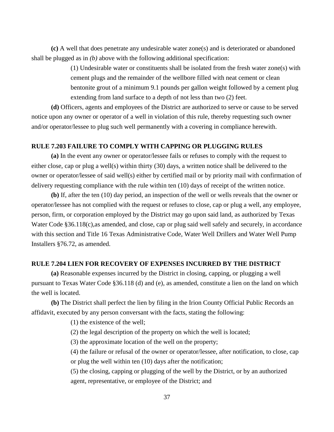**(c)** A well that does penetrate any undesirable water zone(s) and is deteriorated or abandoned shall be plugged as in *(b)* above with the following additional specification:

> (1) Undesirable water or constituents shall be isolated from the fresh water zone(s) with cement plugs and the remainder of the wellbore filled with neat cement or clean bentonite grout of a minimum 9.1 pounds per gallon weight followed by a cement plug extending from land surface to a depth of not less than two (2) feet.

**(d)** Officers, agents and employees of the District are authorized to serve or cause to be served notice upon any owner or operator of a well in violation of this rule, thereby requesting such owner and/or operator/lessee to plug such well permanently with a covering in compliance herewith.

## **RULE 7.203 FAILURE TO COMPLY WITH CAPPING OR PLUGGING RULES**

**(a)** In the event any owner or operator/lessee fails or refuses to comply with the request to either close, cap or plug a well(s) within thirty (30) days, a written notice shall be delivered to the owner or operator/lessee of said well(s) either by certified mail or by priority mail with confirmation of delivery requesting compliance with the rule within ten (10) days of receipt of the written notice.

**(b)** If, after the ten (10) day period, an inspection of the well or wells reveals that the owner or operator/lessee has not complied with the request or refuses to close, cap or plug a well, any employee, person, firm, or corporation employed by the District may go upon said land, as authorized by Texas Water Code §36.118(c), as amended, and close, cap or plug said well safely and securely, in accordance with this section and Title 16 Texas Administrative Code, Water Well Drillers and Water Well Pump Installers §76.72, as amended.

### **RULE 7.204 LIEN FOR RECOVERY OF EXPENSES INCURRED BY THE DISTRICT**

**(a)** Reasonable expenses incurred by the District in closing, capping, or plugging a well pursuant to Texas Water Code §36.118 (d) and (e), as amended, constitute a lien on the land on which the well is located.

**(b)** The District shall perfect the lien by filing in the Irion County Official Public Records an affidavit, executed by any person conversant with the facts, stating the following:

(1) the existence of the well;

(2) the legal description of the property on which the well is located;

(3) the approximate location of the well on the property;

(4) the failure or refusal of the owner or operator/lessee, after notification, to close, cap or plug the well within ten (10) days after the notification;

(5) the closing, capping or plugging of the well by the District, or by an authorized agent, representative, or employee of the District; and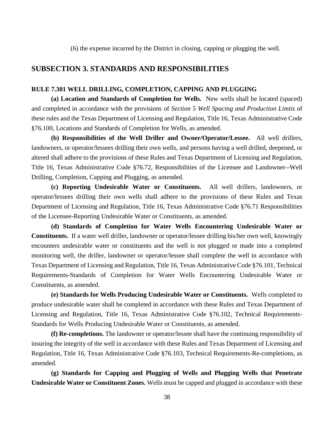(6) the expense incurred by the District in closing, capping or plugging the well.

## **SUBSECTION 3. STANDARDS AND RESPONSIBILITIES**

#### **RULE 7.301 WELL DRILLING, COMPLETION, CAPPING AND PLUGGING**

**(a) Location and Standards of Completion for Wells.** New wells shall be located (spaced) and completed in accordance with the provisions of *Section 5 Well Spacing and Production Limits* of these rules and the Texas Department of Licensing and Regulation, Title 16, Texas Administrative Code §76.100, Locations and Standards of Completion for Wells, as amended.

**(b) Responsibilities of the Well Driller and Owner/Operator/Lessee.** All well drillers, landowners, or operator/lessees drilling their own wells, and persons having a well drilled, deepened, or altered shall adhere to the provisions of these Rules and Texas Department of Licensing and Regulation, Title 16, Texas Administrative Code §76.72, Responsibilities of the Licensee and Landowner--Well Drilling, Completion, Capping and Plugging, as amended.

**(c) Reporting Undesirable Water or Constituents.** All well drillers, landowners, or operator/lessees drilling their own wells shall adhere to the provisions of these Rules and Texas Department of Licensing and Regulation, Title 16, Texas Administrative Code §76.71 Responsibilities of the Licensee-Reporting Undesirable Water or Constituents, as amended.

**(d) Standards of Completion for Water Wells Encountering Undesirable Water or Constituents.** If a water well driller, landowner or operator/lessee drilling his/her own well, knowingly encounters undesirable water or constituents and the well is not plugged or made into a completed monitoring well, the driller, landowner or operator/lessee shall complete the well in accordance with Texas Department of Licensing and Regulation, Title 16, Texas Administrative Code §76.101, Technical Requirements-Standards of Completion for Water Wells Encountering Undesirable Water or Constituents, as amended.

**(e) Standards for Wells Producing Undesirable Water or Constituents.** Wells completed to produce undesirable water shall be completed in accordance with these Rules and Texas Department of Licensing and Regulation, Title 16, Texas Administrative Code §76.102, Technical Requirements-Standards for Wells Producing Undesirable Water or Constituents, as amended.

**(f) Re-completions.** The landowner or operator/lessee shall have the continuing responsibility of insuring the integrity of the well in accordance with these Rules and Texas Department of Licensing and Regulation, Title 16, Texas Administrative Code §76.103, Technical Requirements-Re-completions, as amended.

**(g) Standards for Capping and Plugging of Wells and Plugging Wells that Penetrate Undesirable Water or Constituent Zones.** Wells must be capped and plugged in accordance with these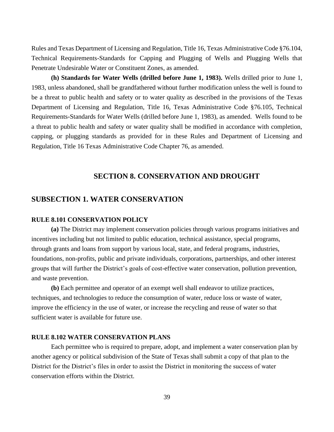Rules and Texas Department of Licensing and Regulation, Title 16, Texas Administrative Code §76.104, Technical Requirements-Standards for Capping and Plugging of Wells and Plugging Wells that Penetrate Undesirable Water or Constituent Zones, as amended.

**(h) Standards for Water Wells (drilled before June 1, 1983).** Wells drilled prior to June 1, 1983, unless abandoned, shall be grandfathered without further modification unless the well is found to be a threat to public health and safety or to water quality as described in the provisions of the Texas Department of Licensing and Regulation, Title 16, Texas Administrative Code §76.105, Technical Requirements-Standards for Water Wells (drilled before June 1, 1983), as amended. Wells found to be a threat to public health and safety or water quality shall be modified in accordance with completion, capping, or plugging standards as provided for in these Rules and Department of Licensing and Regulation, Title 16 Texas Administrative Code Chapter 76, as amended.

## **SECTION 8. CONSERVATION AND DROUGHT**

## **SUBSECTION 1. WATER CONSERVATION**

## **RULE 8.101 CONSERVATION POLICY**

**(a)** The District may implement conservation policies through various programs initiatives and incentives including but not limited to public education, technical assistance, special programs, through grants and loans from support by various local, state, and federal programs, industries, foundations, non-profits, public and private individuals, corporations, partnerships, and other interest groups that will further the District's goals of cost-effective water conservation, pollution prevention, and waste prevention.

**(b)** Each permittee and operator of an exempt well shall endeavor to utilize practices, techniques, and technologies to reduce the consumption of water, reduce loss or waste of water, improve the efficiency in the use of water, or increase the recycling and reuse of water so that sufficient water is available for future use.

## **RULE 8.102 WATER CONSERVATION PLANS**

Each permittee who is required to prepare, adopt, and implement a water conservation plan by another agency or political subdivision of the State of Texas shall submit a copy of that plan to the District for the District's files in order to assist the District in monitoring the success of water conservation efforts within the District.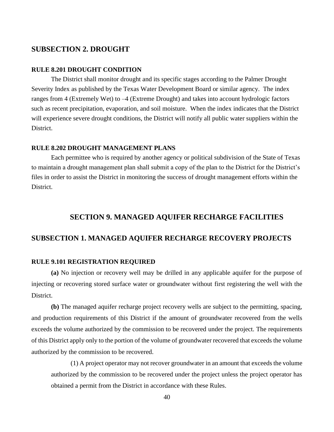## **SUBSECTION 2. DROUGHT**

## **RULE 8.201 DROUGHT CONDITION**

The District shall monitor drought and its specific stages according to the Palmer Drought Severity Index as published by the Texas Water Development Board or similar agency. The index ranges from 4 (Extremely Wet) to –4 (Extreme Drought) and takes into account hydrologic factors such as recent precipitation, evaporation, and soil moisture. When the index indicates that the District will experience severe drought conditions, the District will notify all public water suppliers within the District.

## **RULE 8.202 DROUGHT MANAGEMENT PLANS**

Each permittee who is required by another agency or political subdivision of the State of Texas to maintain a drought management plan shall submit a copy of the plan to the District for the District's files in order to assist the District in monitoring the success of drought management efforts within the District.

## **SECTION 9. MANAGED AQUIFER RECHARGE FACILITIES**

## **SUBSECTION 1. MANAGED AQUIFER RECHARGE RECOVERY PROJECTS**

## **RULE 9.101 REGISTRATION REQUIRED**

**(a)** No injection or recovery well may be drilled in any applicable aquifer for the purpose of injecting or recovering stored surface water or groundwater without first registering the well with the District.

**(b)** The managed aquifer recharge project recovery wells are subject to the permitting, spacing, and production requirements of this District if the amount of groundwater recovered from the wells exceeds the volume authorized by the commission to be recovered under the project. The requirements of this District apply only to the portion of the volume of groundwater recovered that exceeds the volume authorized by the commission to be recovered.

(1) A project operator may not recover groundwater in an amount that exceeds the volume authorized by the commission to be recovered under the project unless the project operator has obtained a permit from the District in accordance with these Rules.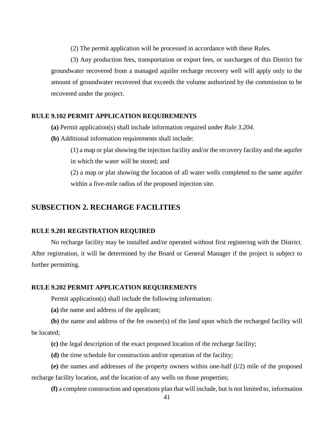(2) The permit application will be processed in accordance with these Rules.

(3) Any production fees, transportation or export fees, or surcharges of this District for groundwater recovered from a managed aquifer recharge recovery well will apply only to the amount of groundwater recovered that exceeds the volume authorized by the commission to be recovered under the project.

## **RULE 9.102 PERMIT APPLICATION REQUIREMENTS**

- **(a)** Permit application(s) shall include information required under *Rule 3.204*.
- **(b)** Additional information requirements shall include:
	- (1) a map or plat showing the injection facility and/or the recovery facility and the aquifer in which the water will be stored; and

(2) a map or plat showing the location of all water wells completed to the same aquifer within a five-mile radius of the proposed injection site.

## **SUBSECTION 2. RECHARGE FACILITIES**

## **RULE 9.201 REGISTRATION REQUIRED**

No recharge facility may be installed and/or operated without first registering with the District. After registration, it will be determined by the Board or General Manager if the project is subject to further permitting.

## **RULE 9.202 PERMIT APPLICATION REQUIREMENTS**

Permit application(s) shall include the following information:

**(a)** the name and address of the applicant;

**(b)** the name and address of the fee owner(s) of the land upon which the recharged facility will be located;

- **(c)** the legal description of the exact proposed location of the recharge facility;
- **(d)** the time schedule for construction and/or operation of the facility;

(e) the names and addresses of the property owners within one-half  $(1/2)$  mile of the proposed recharge facility location, and the location of any wells on those properties;

**(f)** a complete construction and operations plan that will include, but is not limited to, information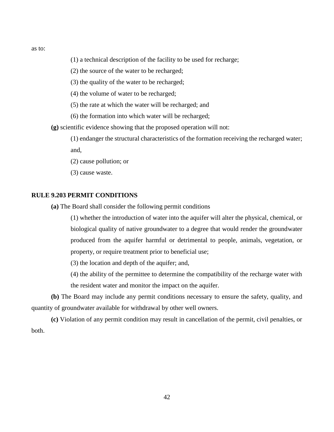as to:

- (1) a technical description of the facility to be used for recharge;
- (2) the source of the water to be recharged;
- (3) the quality of the water to be recharged;
- (4) the volume of water to be recharged;
- (5) the rate at which the water will be recharged; and
- (6) the formation into which water will be recharged;

**(g)** scientific evidence showing that the proposed operation will not:

- (1) endanger the structural characteristics of the formation receiving the recharged water; and,
- (2) cause pollution; or
- (3) cause waste.

## **RULE 9.203 PERMIT CONDITIONS**

**(a)** The Board shall consider the following permit conditions

(1) whether the introduction of water into the aquifer will alter the physical, chemical, or biological quality of native groundwater to a degree that would render the groundwater produced from the aquifer harmful or detrimental to people, animals, vegetation, or property, or require treatment prior to beneficial use;

(3) the location and depth of the aquifer; and,

(4) the ability of the permittee to determine the compatibility of the recharge water with the resident water and monitor the impact on the aquifer.

**(b)** The Board may include any permit conditions necessary to ensure the safety, quality, and quantity of groundwater available for withdrawal by other well owners.

**(c)** Violation of any permit condition may result in cancellation of the permit, civil penalties, or both.